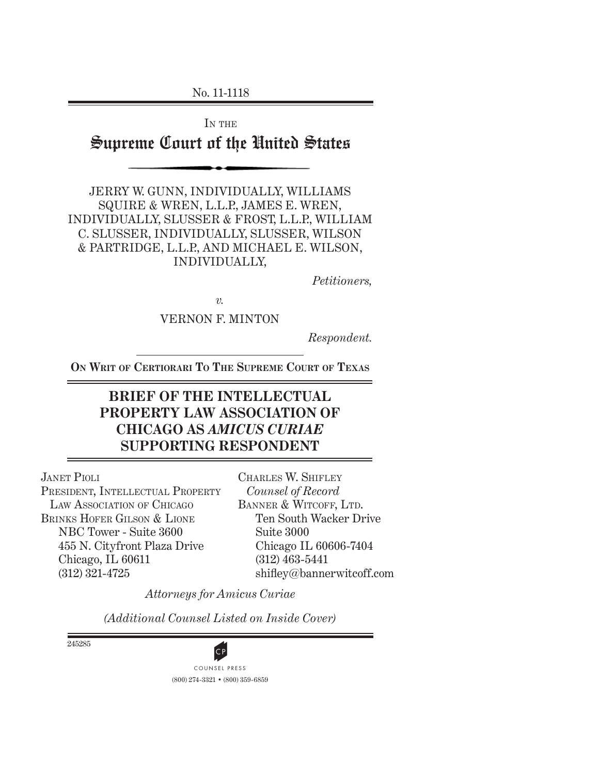No. 11-1118

IN THE Supreme Court of the United States

JERRY W. GUNN, INDIVIDUALLY, WILLIAMS SQUIRE & WREN, L.L.P., JAMES E. WREN, INDIVIDUALLY, SLUSSER & FROST, L.L.P., WILLIAM C. SLUSSER, INDIVIDUALLY, SLUSSER, WILSON & PARTRIDGE, L.L.P., AND MICHAEL E. WILSON, INDIVIDUALLY,

*Petitioners,*

*v.*

VERNON F. MINTON

*Respondent.*

**ON WRIT OF CERTIORARI TO THE SUPREME COURT OF TEXAS**

# **BRIEF OF THE INTELLECTUAL PROPERTY LAW ASSOCIATION OF CHICAGO AS** *AMICUS CURIAE* **SUPPORTING RESPONDENT**

JANET PIOLI PRESIDENT, INTELLECTUAL PROPERTY LAW ASSOCIATION OF CHICAGO BRINKS HOFER GILSON & LIONE NBC Tower - Suite 3600 455 N. Cityfront Plaza Drive Chicago, IL 60611 (312) 321-4725

CHARLES W. SHIFLEY *Counsel of Record* BANNER & WITCOFF, LTD. Ten South Wacker Drive Suite 3000 Chicago IL 60606-7404 (312) 463-5441 shifley@bannerwitcoff.com

*Attorneys for Amicus Curiae*

*(Additional Counsel Listed on Inside Cover)*

245285



(800) 274-3321 • (800) 359-6859 **CP**<br>COUNSEL PRESS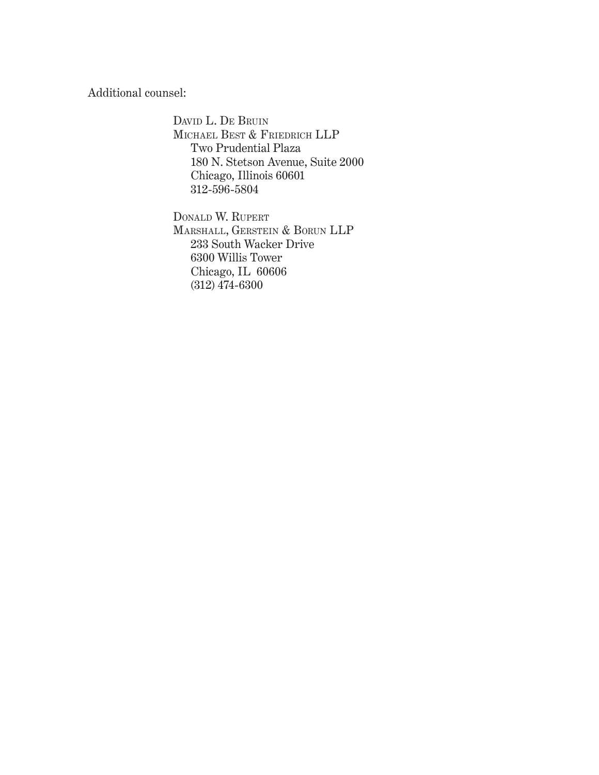Additional counsel:

DAVID L. DE BRUIN MICHAEL BEST & FRIEDRICH LLP Two Prudential Plaza 180 N. Stetson Avenue, Suite 2000 Chicago, Illinois 60601 312-596-5804

DONALD W. RUPERT MARSHALL, GERSTEIN & BORUN LLP 233 South Wacker Drive 6300 Willis Tower Chicago, IL 60606 (312) 474-6300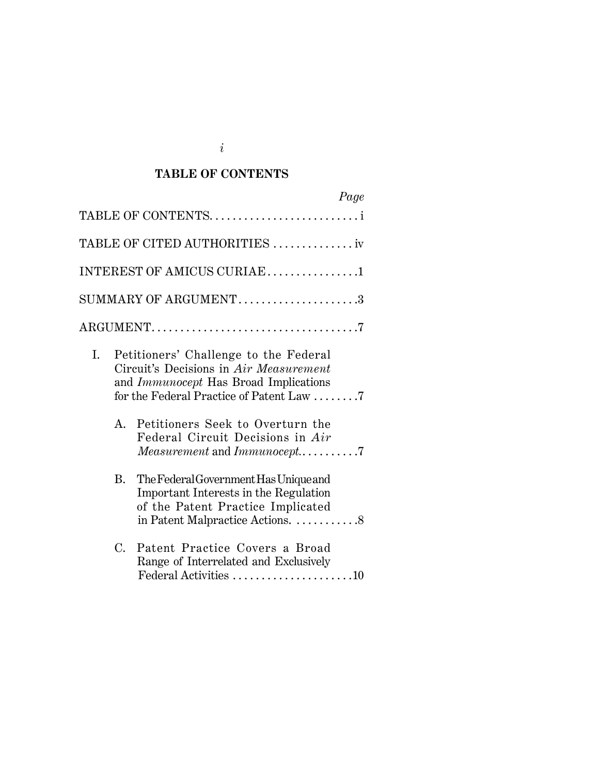# **TABLE OF CONTENTS**

|                            |    | Page                                                                                                                                                                                                                                                                               |  |  |  |
|----------------------------|----|------------------------------------------------------------------------------------------------------------------------------------------------------------------------------------------------------------------------------------------------------------------------------------|--|--|--|
|                            |    | TABLE OF CONTENTS                                                                                                                                                                                                                                                                  |  |  |  |
|                            |    | TABLE OF CITED AUTHORITIES  iv                                                                                                                                                                                                                                                     |  |  |  |
| INTEREST OF AMICUS CURIAE1 |    |                                                                                                                                                                                                                                                                                    |  |  |  |
|                            |    | SUMMARY OF ARGUMENT3                                                                                                                                                                                                                                                               |  |  |  |
|                            |    |                                                                                                                                                                                                                                                                                    |  |  |  |
| Ι.                         | A. | Petitioners' Challenge to the Federal<br>Circuit's Decisions in Air Measurement<br>and <i>Immunocept</i> Has Broad Implications<br>for the Federal Practice of Patent Law 7<br>Petitioners Seek to Overturn the<br>Federal Circuit Decisions in Air<br>Measurement and Immunocept7 |  |  |  |
|                            | B. | The Federal Government Has Unique and<br>Important Interests in the Regulation<br>of the Patent Practice Implicated<br>in Patent Malpractice Actions. 8                                                                                                                            |  |  |  |
|                            | C. | Patent Practice Covers a Broad<br>Range of Interrelated and Exclusively<br>Federal Activities 10                                                                                                                                                                                   |  |  |  |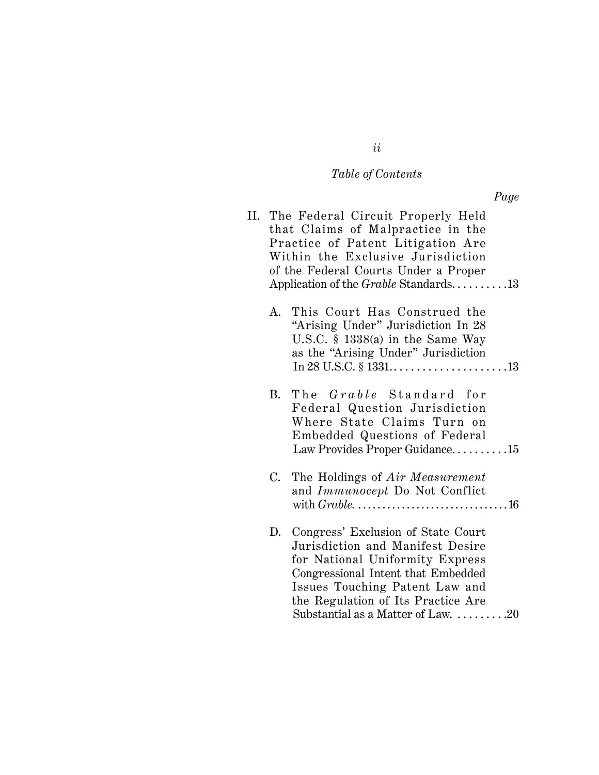# *Table of Contents*

|    | II. The Federal Circuit Properly Held<br>that Claims of Malpractice in the<br>Practice of Patent Litigation Are<br>Within the Exclusive Jurisdiction<br>of the Federal Courts Under a Proper<br>Application of the <i>Grable</i> Standards13                  |
|----|---------------------------------------------------------------------------------------------------------------------------------------------------------------------------------------------------------------------------------------------------------------|
| А. | This Court Has Construed the<br>"Arising Under" Jurisdiction In 28<br>U.S.C. $\S$ 1338(a) in the Same Way<br>as the "Arising Under" Jurisdiction                                                                                                              |
| B. | The <i>Grable</i> Standard for<br>Federal Question Jurisdiction<br>Where State Claims Turn on<br>Embedded Questions of Federal<br>Law Provides Proper Guidance15                                                                                              |
| C. | The Holdings of Air Measurement<br>and Immunocept Do Not Conflict                                                                                                                                                                                             |
| D. | Congress' Exclusion of State Court<br>Jurisdiction and Manifest Desire<br>for National Uniformity Express<br>Congressional Intent that Embedded<br>Issues Touching Patent Law and<br>the Regulation of Its Practice Are<br>Substantial as a Matter of Law. 20 |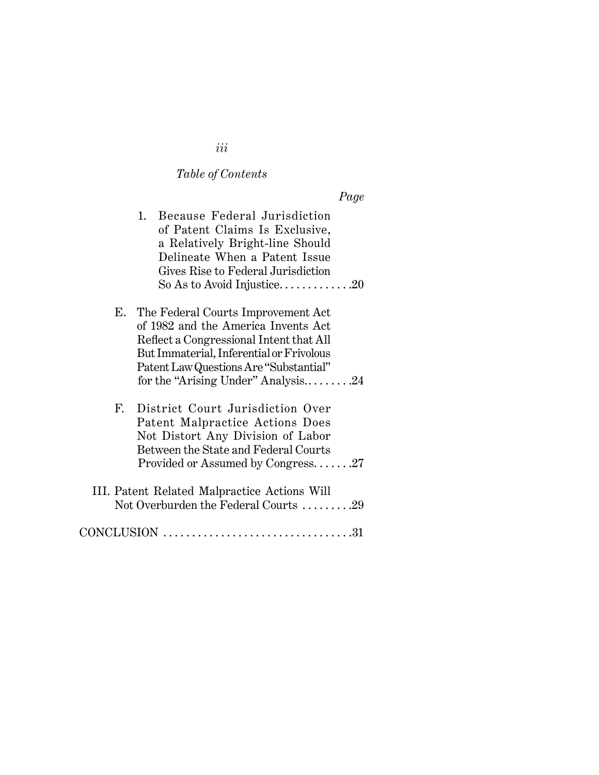# *Table of Contents*

*Page*

|    | Because Federal Jurisdiction<br>1.<br>of Patent Claims Is Exclusive,<br>a Relatively Bright-line Should<br>Delineate When a Patent Issue<br>Gives Rise to Federal Jurisdiction<br>So As to Avoid Injustice20                                     |
|----|--------------------------------------------------------------------------------------------------------------------------------------------------------------------------------------------------------------------------------------------------|
| Е. | The Federal Courts Improvement Act<br>of 1982 and the America Invents Act<br>Reflect a Congressional Intent that All<br>But Immaterial, Inferential or Frivolous<br>Patent Law Questions Are "Substantial"<br>for the "Arising Under" Analysis24 |
| F. | District Court Jurisdiction Over<br>Patent Malpractice Actions Does<br>Not Distort Any Division of Labor<br>Between the State and Federal Courts<br>Provided or Assumed by Congress27                                                            |
|    | III. Patent Related Malpractice Actions Will<br>Not Overburden the Federal Courts 29                                                                                                                                                             |
|    |                                                                                                                                                                                                                                                  |

*iii*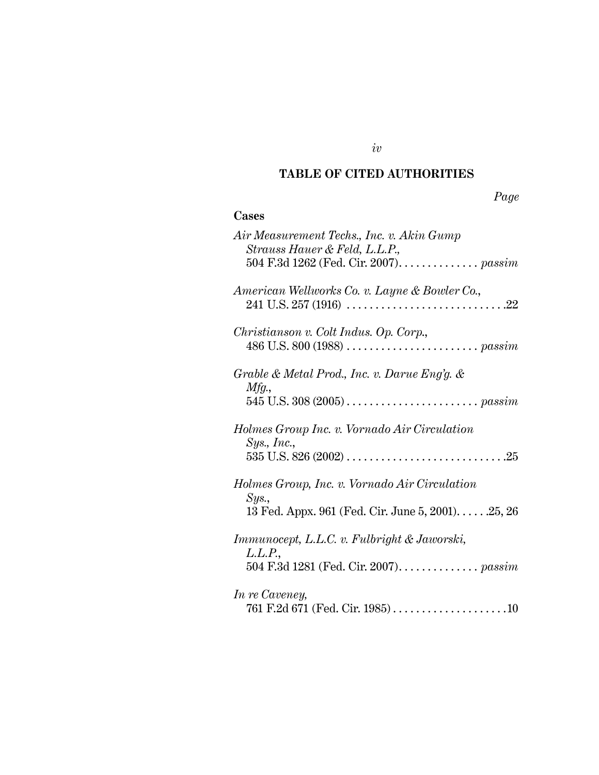#### **TABLE OF CITED AUTHORITIES**

*iv*

#### *Page*

# **Cases** *Air Measurement Techs., Inc. v. Akin Gump Strauss Hauer & Feld, L.L.P.,* 504 F.3d 1262 (Fed. Cir. 2007). . . . . . . . . . . . . . *passim American Wellworks Co. v. Layne & Bowler Co.*, 241 U.S. 257 (1916) . . . . . . . . . . . . . . . . . . . . . . . . . . . .22 *Christianson v. Colt Indus. Op. Corp*., 486 U.S. 800 (1988) . . . . . . . . . . . . . . . . . . . . . . . *passim Grable & Metal Prod., Inc. v. Darue Eng'g. & Mfg.*, 545 U.S. 308 (2005) . . . . . . . . . . . . . . . . . . . . . . . *passim Holmes Group Inc. v. Vornado Air Circulation Sys., Inc.*, 535 U.S. 826 (2002) . . . . . . . . . . . . . . . . . . . . . . . . . . . .25 *Holmes Group, Inc. v. Vornado Air Circulation Sys.*, 13 Fed. Appx. 961 (Fed. Cir. June 5, 2001). . . . . .25, 26 *Immunocept, L.L.C. v. Fulbright & Jaworski, L.L.P.*, 504 F.3d 1281 (Fed. Cir. 2007). . . . . . . . . . . . . . *passim In re Caveney,* 761 F.2d 671 (Fed. Cir. 1985) . . . . . . . . . . . . . . . . . . . .10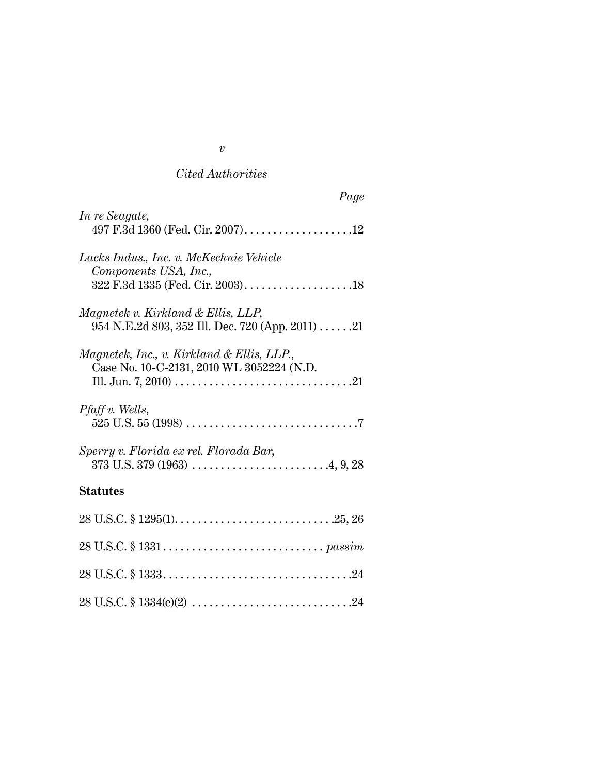# *Cited Authorities*

28 U.S.C. § 1334(e)(2) . . . . . . . . . . . . . . . . . . . . . . . . . . . .24

### *v*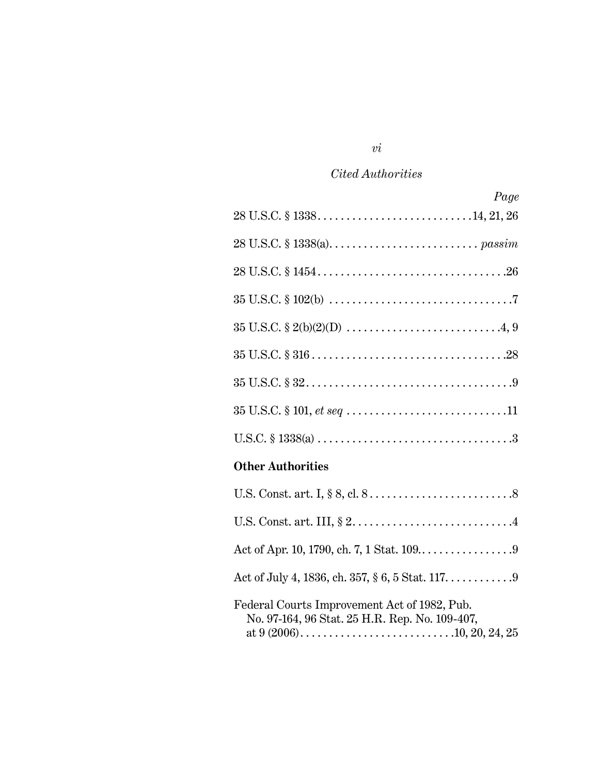# *Cited Authorities*

| Page                                                                                           |
|------------------------------------------------------------------------------------------------|
|                                                                                                |
|                                                                                                |
|                                                                                                |
|                                                                                                |
|                                                                                                |
|                                                                                                |
|                                                                                                |
|                                                                                                |
|                                                                                                |
| <b>Other Authorities</b>                                                                       |
|                                                                                                |
|                                                                                                |
|                                                                                                |
| Act of July 4, 1836, ch. 357, § 6, 5 Stat. 117. 9                                              |
| Federal Courts Improvement Act of 1982, Pub.<br>No. 97-164, 96 Stat. 25 H.R. Rep. No. 109-407, |

# *vi*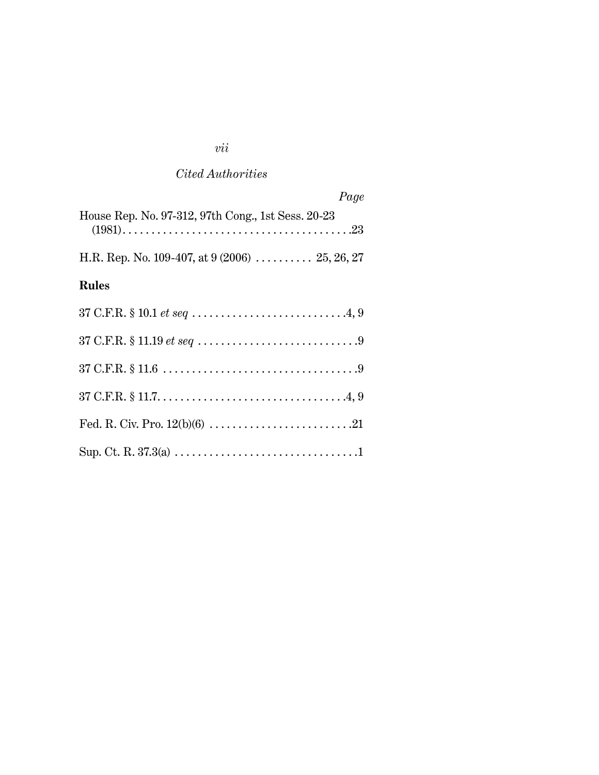# *vii*

# *Cited Authorities*

| Page                                               |
|----------------------------------------------------|
| House Rep. No. 97-312, 97th Cong., 1st Sess. 20-23 |
| H.R. Rep. No. 109-407, at $9(2006)$ 25, 26, 27     |
| <b>Rules</b>                                       |
| $37$ C.F.R. § 10.1 <i>et seq</i> .4, 9             |
|                                                    |
|                                                    |
|                                                    |
|                                                    |
|                                                    |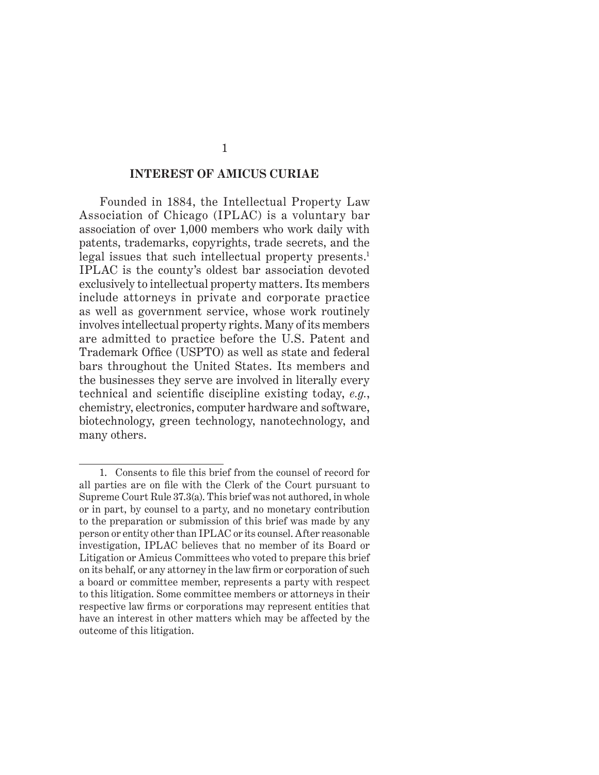#### **INTEREST OF AMICUS CURIAE**

Founded in 1884, the Intellectual Property Law Association of Chicago (IPLAC) is a voluntary bar association of over 1,000 members who work daily with patents, trademarks, copyrights, trade secrets, and the legal issues that such intellectual property presents.<sup>1</sup> IPLAC is the county's oldest bar association devoted exclusively to intellectual property matters. Its members include attorneys in private and corporate practice as well as government service, whose work routinely involves intellectual property rights. Many of its members are admitted to practice before the U.S. Patent and Trademark Office (USPTO) as well as state and federal bars throughout the United States. Its members and the businesses they serve are involved in literally every technical and scientific discipline existing today, *e.g.*, chemistry, electronics, computer hardware and software, biotechnology, green technology, nanotechnology, and many others.

<sup>1.</sup> Consents to file this brief from the counsel of record for all parties are on file with the Clerk of the Court pursuant to Supreme Court Rule 37.3(a). This brief was not authored, in whole or in part, by counsel to a party, and no monetary contribution to the preparation or submission of this brief was made by any person or entity other than IPLAC or its counsel. After reasonable investigation, IPLAC believes that no member of its Board or Litigation or Amicus Committees who voted to prepare this brief on its behalf, or any attorney in the law firm or corporation of such a board or committee member, represents a party with respect to this litigation. Some committee members or attorneys in their respective law firms or corporations may represent entities that have an interest in other matters which may be affected by the outcome of this litigation.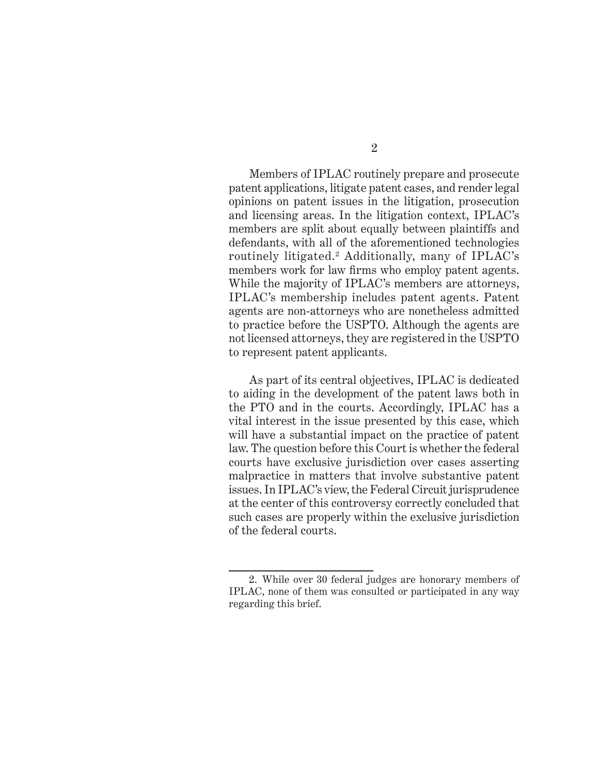Members of IPLAC routinely prepare and prosecute patent applications, litigate patent cases, and render legal opinions on patent issues in the litigation, prosecution and licensing areas. In the litigation context, IPLAC's members are split about equally between plaintiffs and defendants, with all of the aforementioned technologies routinely litigated.<sup>2</sup> Additionally, many of IPLAC's members work for law firms who employ patent agents. While the majority of IPLAC's members are attorneys, IPLAC's membership includes patent agents. Patent agents are non-attorneys who are nonetheless admitted to practice before the USPTO. Although the agents are not licensed attorneys, they are registered in the USPTO to represent patent applicants.

As part of its central objectives, IPLAC is dedicated to aiding in the development of the patent laws both in the PTO and in the courts. Accordingly, IPLAC has a vital interest in the issue presented by this case, which will have a substantial impact on the practice of patent law. The question before this Court is whether the federal courts have exclusive jurisdiction over cases asserting malpractice in matters that involve substantive patent issues. In IPLAC's view, the Federal Circuit jurisprudence at the center of this controversy correctly concluded that such cases are properly within the exclusive jurisdiction of the federal courts.

<sup>2.</sup> While over 30 federal judges are honorary members of IPLAC, none of them was consulted or participated in any way regarding this brief.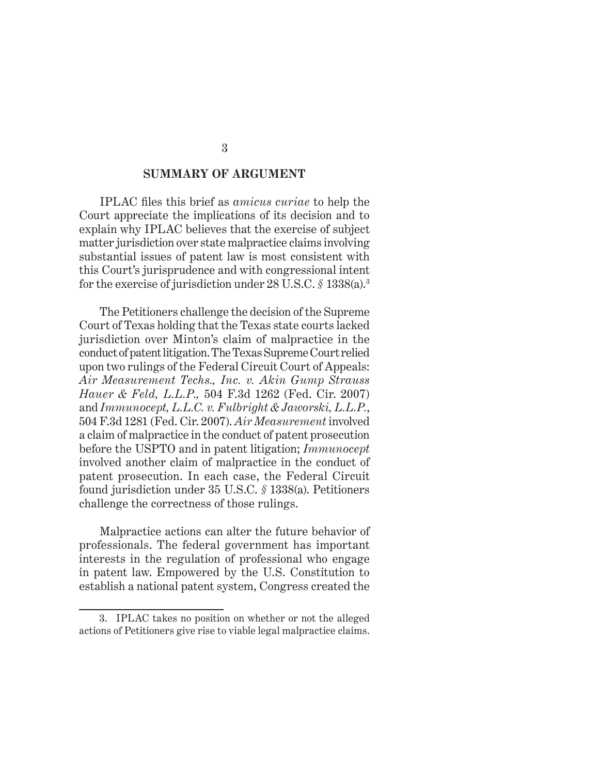#### **SUMMARY OF ARGUMENT**

IPLAC files this brief as *amicus curiae* to help the Court appreciate the implications of its decision and to explain why IPLAC believes that the exercise of subject matter jurisdiction over state malpractice claims involving substantial issues of patent law is most consistent with this Court's jurisprudence and with congressional intent for the exercise of jurisdiction under 28 U.S.C. *§* 1338(a).3

The Petitioners challenge the decision of the Supreme Court of Texas holding that the Texas state courts lacked jurisdiction over Minton's claim of malpractice in the conduct of patent litigation.The Texas Supreme Court relied upon two rulings of the Federal Circuit Court of Appeals: *Air Measurement Techs., Inc. v. Akin Gump Strauss Hauer & Feld, L.L.P.,* 504 F.3d 1262 (Fed. Cir. 2007) and *Immunocept, L.L.C. v. Fulbright & Jaworski, L.L.P.*, 504 F.3d 1281 (Fed. Cir. 2007). *Air Measurement* involved a claim of malpractice in the conduct of patent prosecution before the USPTO and in patent litigation; *Immunocept* involved another claim of malpractice in the conduct of patent prosecution. In each case, the Federal Circuit found jurisdiction under 35 U.S.C. *§* 1338(a). Petitioners challenge the correctness of those rulings.

Malpractice actions can alter the future behavior of professionals. The federal government has important interests in the regulation of professional who engage in patent law. Empowered by the U.S. Constitution to establish a national patent system, Congress created the

<sup>3.</sup> IPLAC takes no position on whether or not the alleged actions of Petitioners give rise to viable legal malpractice claims.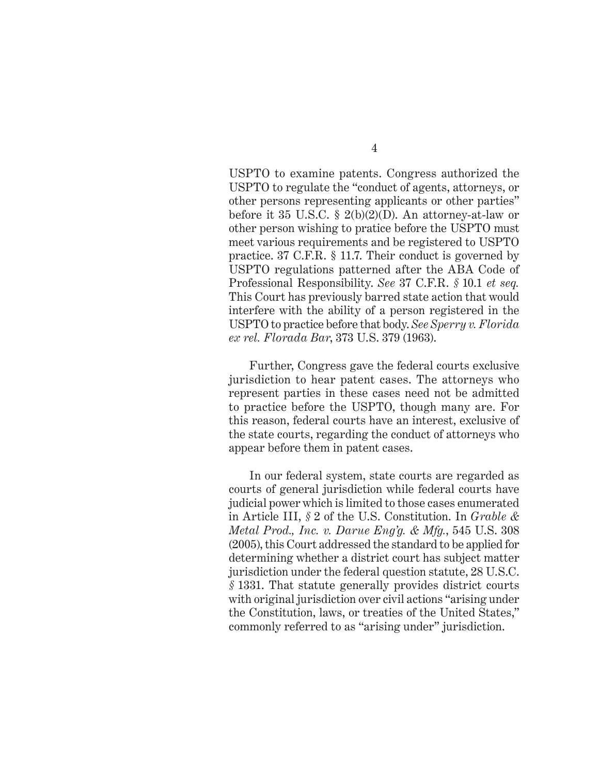USPTO to examine patents. Congress authorized the USPTO to regulate the "conduct of agents, attorneys, or other persons representing applicants or other parties" before it 35 U.S.C. § 2(b)(2)(D). An attorney-at-law or other person wishing to pratice before the USPTO must meet various requirements and be registered to USPTO practice. 37 C.F.R. § 11.7. Their conduct is governed by USPTO regulations patterned after the ABA Code of Professional Responsibility. *See* 37 C.F.R. *§* 10.1 *et seq.*  This Court has previously barred state action that would interfere with the ability of a person registered in the USPTO to practice before that body. *See Sperry v. Florida ex rel. Florada Bar*, 373 U.S. 379 (1963).

Further, Congress gave the federal courts exclusive jurisdiction to hear patent cases. The attorneys who represent parties in these cases need not be admitted to practice before the USPTO, though many are. For this reason, federal courts have an interest, exclusive of the state courts, regarding the conduct of attorneys who appear before them in patent cases.

In our federal system, state courts are regarded as courts of general jurisdiction while federal courts have judicial power which is limited to those cases enumerated in Article III, *§* 2 of the U.S. Constitution. In *Grable & Metal Prod., Inc. v. Darue Eng'g. & Mfg.*, 545 U.S. 308 (2005), this Court addressed the standard to be applied for determining whether a district court has subject matter jurisdiction under the federal question statute, 28 U.S.C. *§* 1331. That statute generally provides district courts with original jurisdiction over civil actions "arising under the Constitution, laws, or treaties of the United States," commonly referred to as "arising under" jurisdiction.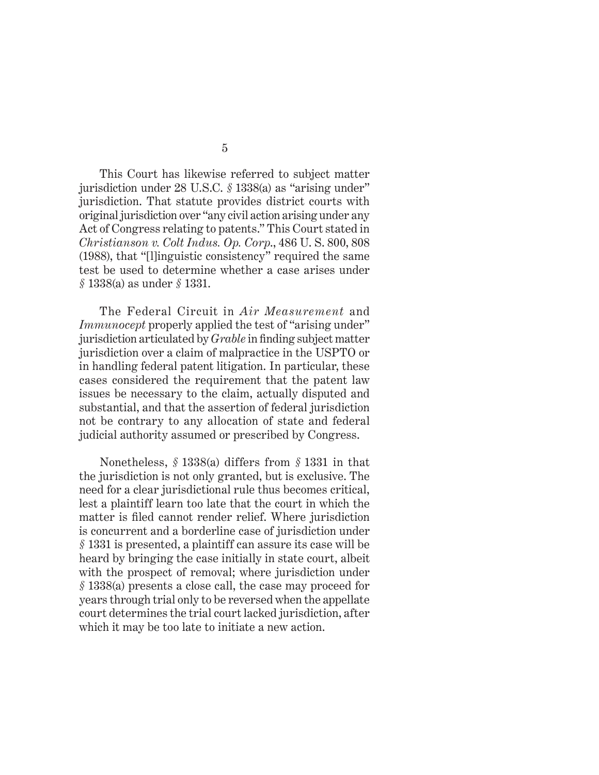This Court has likewise referred to subject matter jurisdiction under 28 U.S.C. *§* 1338(a) as "arising under" jurisdiction. That statute provides district courts with original jurisdiction over "any civil action arising under any Act of Congress relating to patents." This Court stated in *Christianson v. Colt Indus. Op. Corp*., 486 U. S. 800, 808 (1988), that "[l]inguistic consistency" required the same test be used to determine whether a case arises under *§* 1338(a) as under *§* 1331.

The Federal Circuit in *Air Measurement* and *Immunocept* properly applied the test of "arising under" jurisdiction articulated by *Grable* in finding subject matter jurisdiction over a claim of malpractice in the USPTO or in handling federal patent litigation. In particular, these cases considered the requirement that the patent law issues be necessary to the claim, actually disputed and substantial, and that the assertion of federal jurisdiction not be contrary to any allocation of state and federal judicial authority assumed or prescribed by Congress.

Nonetheless, *§* 1338(a) differs from *§* 1331 in that the jurisdiction is not only granted, but is exclusive. The need for a clear jurisdictional rule thus becomes critical, lest a plaintiff learn too late that the court in which the matter is filed cannot render relief. Where jurisdiction is concurrent and a borderline case of jurisdiction under *§* 1331 is presented, a plaintiff can assure its case will be heard by bringing the case initially in state court, albeit with the prospect of removal; where jurisdiction under *§* 1338(a) presents a close call, the case may proceed for years through trial only to be reversed when the appellate court determines the trial court lacked jurisdiction, after which it may be too late to initiate a new action.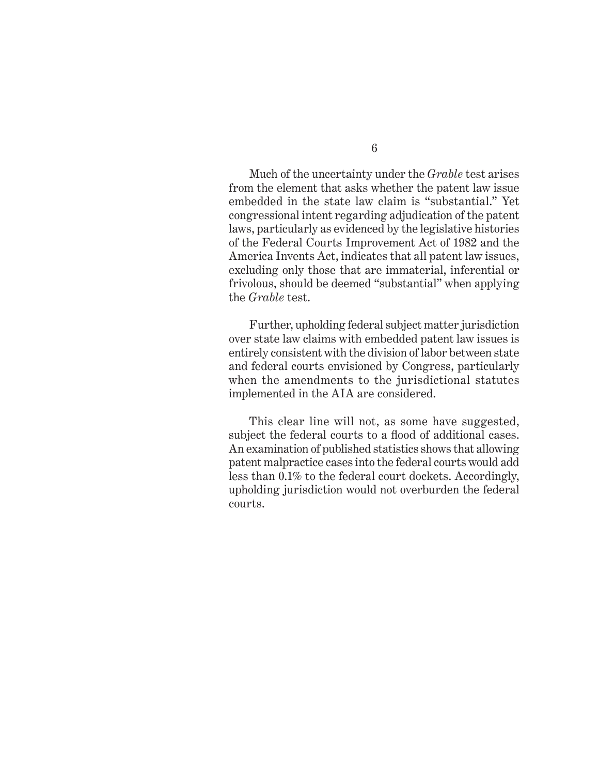Much of the uncertainty under the *Grable* test arises from the element that asks whether the patent law issue embedded in the state law claim is "substantial." Yet congressional intent regarding adjudication of the patent laws, particularly as evidenced by the legislative histories of the Federal Courts Improvement Act of 1982 and the America Invents Act, indicates that all patent law issues, excluding only those that are immaterial, inferential or frivolous, should be deemed "substantial" when applying the *Grable* test.

Further, upholding federal subject matter jurisdiction over state law claims with embedded patent law issues is entirely consistent with the division of labor between state and federal courts envisioned by Congress, particularly when the amendments to the jurisdictional statutes implemented in the AIA are considered.

This clear line will not, as some have suggested, subject the federal courts to a flood of additional cases. An examination of published statistics shows that allowing patent malpractice cases into the federal courts would add less than 0.1% to the federal court dockets. Accordingly, upholding jurisdiction would not overburden the federal courts.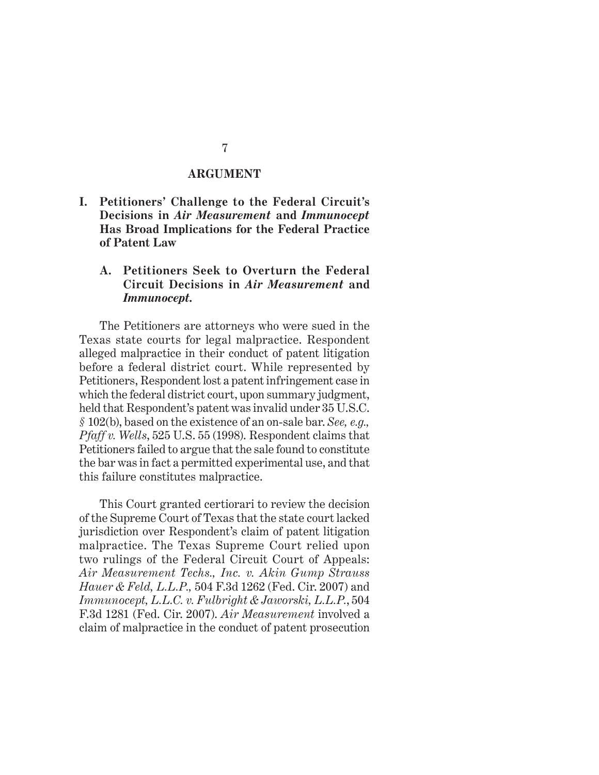#### **ARGUMENT**

**I. Petitioners' Challenge to the Federal Circuit's Decisions in** *Air Measurement* **and** *Immunocept*  **Has Broad Implications for the Federal Practice of Patent Law**

## **A. Petitioners Seek to Overturn the Federal Circuit Decisions in** *Air Measurement* **and**  *Immunocept.*

The Petitioners are attorneys who were sued in the Texas state courts for legal malpractice. Respondent alleged malpractice in their conduct of patent litigation before a federal district court. While represented by Petitioners, Respondent lost a patent infringement case in which the federal district court, upon summary judgment, held that Respondent's patent was invalid under 35 U.S.C. *§* 102(b), based on the existence of an on-sale bar. *See, e.g., Pfaff v. Wells*, 525 U.S. 55 (1998). Respondent claims that Petitioners failed to argue that the sale found to constitute the bar was in fact a permitted experimental use, and that this failure constitutes malpractice.

This Court granted certiorari to review the decision of the Supreme Court of Texas that the state court lacked jurisdiction over Respondent's claim of patent litigation malpractice. The Texas Supreme Court relied upon two rulings of the Federal Circuit Court of Appeals: *Air Measurement Techs., Inc. v. Akin Gump Strauss Hauer & Feld, L.L.P.,* 504 F.3d 1262 (Fed. Cir. 2007) and *Immunocept, L.L.C. v. Fulbright & Jaworski, L.L.P.*, 504 F.3d 1281 (Fed. Cir. 2007). *Air Measurement* involved a claim of malpractice in the conduct of patent prosecution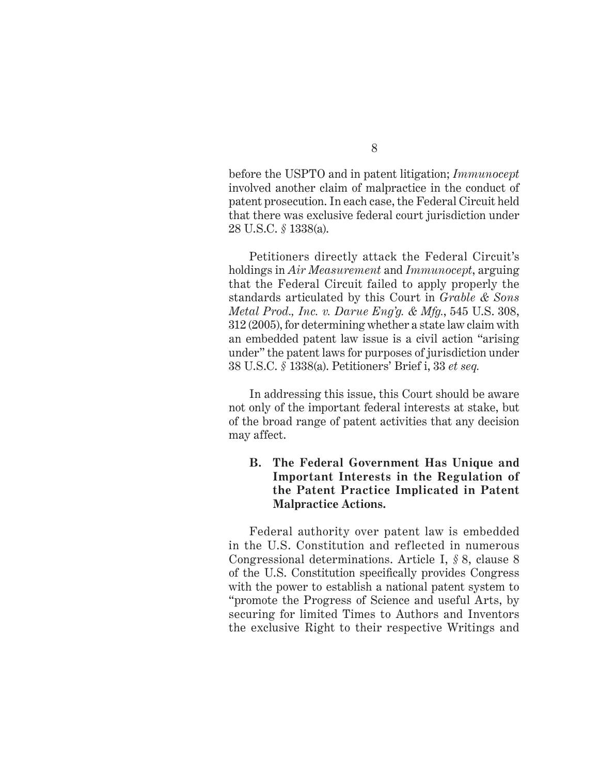8

before the USPTO and in patent litigation; *Immunocept* involved another claim of malpractice in the conduct of patent prosecution. In each case, the Federal Circuit held that there was exclusive federal court jurisdiction under 28 U.S.C. *§* 1338(a).

Petitioners directly attack the Federal Circuit's holdings in *Air Measurement* and *Immunocept*, arguing that the Federal Circuit failed to apply properly the standards articulated by this Court in *Grable & Sons Metal Prod., Inc. v. Darue Eng'g. & Mfg.*, 545 U.S. 308, 312 (2005), for determining whether a state law claim with an embedded patent law issue is a civil action "arising under" the patent laws for purposes of jurisdiction under 38 U.S.C. *§* 1338(a). Petitioners' Brief i, 33 *et seq.* 

In addressing this issue, this Court should be aware not only of the important federal interests at stake, but of the broad range of patent activities that any decision may affect.

## **B. The Federal Government Has Unique and Important Interests in the Regulation of the Patent Practice Implicated in Patent Malpractice Actions.**

Federal authority over patent law is embedded in the U.S. Constitution and reflected in numerous Congressional determinations. Article I, *§* 8, clause 8 of the U.S. Constitution specifically provides Congress with the power to establish a national patent system to "promote the Progress of Science and useful Arts, by securing for limited Times to Authors and Inventors the exclusive Right to their respective Writings and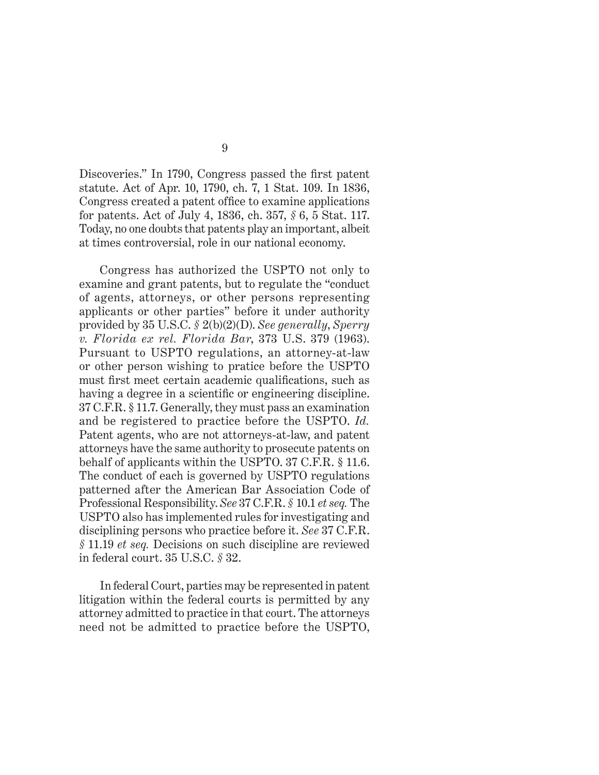Discoveries." In 1790, Congress passed the first patent statute. Act of Apr. 10, 1790, ch. 7, 1 Stat. 109. In 1836, Congress created a patent office to examine applications for patents. Act of July 4, 1836, ch. 357, *§* 6, 5 Stat. 117. Today, no one doubts that patents play an important, albeit at times controversial, role in our national economy.

Congress has authorized the USPTO not only to examine and grant patents, but to regulate the "conduct of agents, attorneys, or other persons representing applicants or other parties" before it under authority provided by 35 U.S.C. *§* 2(b)(2)(D). *See generally*, *Sperry v. Florida ex rel. Florida Bar*, 373 U.S. 379 (1963). Pursuant to USPTO regulations, an attorney-at-law or other person wishing to pratice before the USPTO must first meet certain academic qualifications, such as having a degree in a scientific or engineering discipline. 37 C.F.R. § 11.7. Generally, they must pass an examination and be registered to practice before the USPTO. *Id.*  Patent agents, who are not attorneys-at-law, and patent attorneys have the same authority to prosecute patents on behalf of applicants within the USPTO. 37 C.F.R. § 11.6. The conduct of each is governed by USPTO regulations patterned after the American Bar Association Code of Professional Responsibility. *See* 37 C.F.R. *§* 10.1 *et seq.* The USPTO also has implemented rules for investigating and disciplining persons who practice before it. *See* 37 C.F.R. *§* 11.19 *et seq.* Decisions on such discipline are reviewed in federal court. 35 U.S.C. *§* 32.

In federal Court, parties may be represented in patent litigation within the federal courts is permitted by any attorney admitted to practice in that court. The attorneys need not be admitted to practice before the USPTO,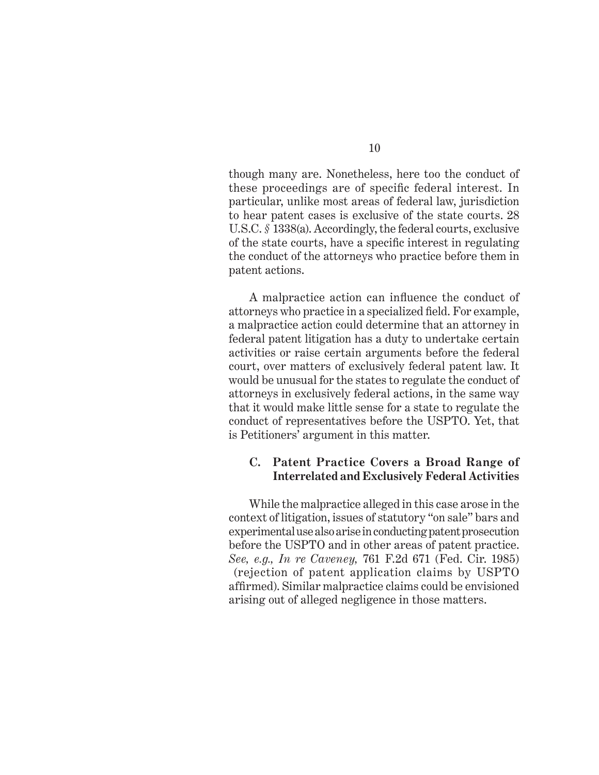though many are. Nonetheless, here too the conduct of these proceedings are of specific federal interest. In particular, unlike most areas of federal law, jurisdiction to hear patent cases is exclusive of the state courts. 28 U.S.C. *§* 1338(a). Accordingly, the federal courts, exclusive of the state courts, have a specific interest in regulating the conduct of the attorneys who practice before them in patent actions.

A malpractice action can influence the conduct of attorneys who practice in a specialized field. For example, a malpractice action could determine that an attorney in federal patent litigation has a duty to undertake certain activities or raise certain arguments before the federal court, over matters of exclusively federal patent law. It would be unusual for the states to regulate the conduct of attorneys in exclusively federal actions, in the same way that it would make little sense for a state to regulate the conduct of representatives before the USPTO. Yet, that is Petitioners' argument in this matter.

#### **C. Patent Practice Covers a Broad Range of Interrelated and Exclusively Federal Activities**

While the malpractice alleged in this case arose in the context of litigation, issues of statutory "on sale" bars and experimental use also arise in conducting patent prosecution before the USPTO and in other areas of patent practice. *See, e.g., In re Caveney,* 761 F.2d 671 (Fed. Cir. 1985) (rejection of patent application claims by USPTO affirmed). Similar malpractice claims could be envisioned arising out of alleged negligence in those matters.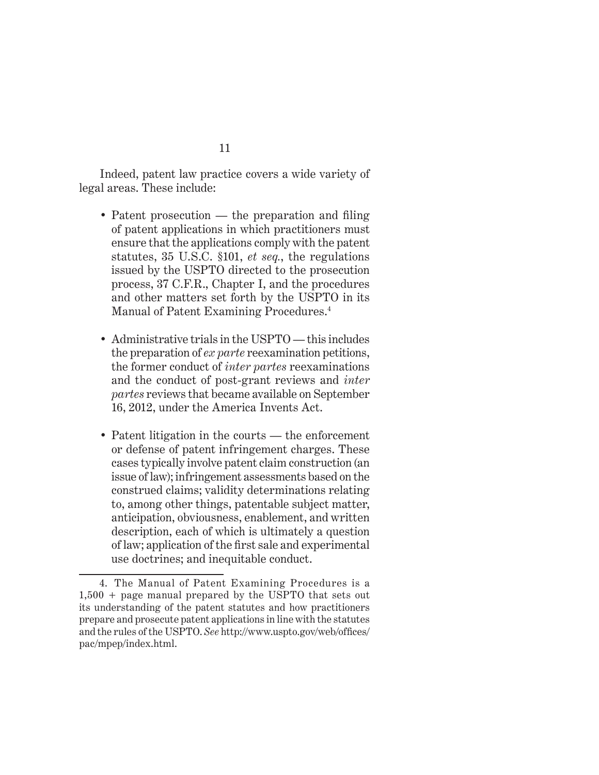Indeed, patent law practice covers a wide variety of legal areas. These include:

- Patent prosecution  $-$  the preparation and filing of patent applications in which practitioners must ensure that the applications comply with the patent statutes, 35 U.S.C. §101, *et seq.*, the regulations issued by the USPTO directed to the prosecution process, 37 C.F.R., Chapter I, and the procedures and other matters set forth by the USPTO in its Manual of Patent Examining Procedures.4
- Administrative trials in the USPTO this includes the preparation of *ex parte* reexamination petitions, the former conduct of *inter partes* reexaminations and the conduct of post-grant reviews and *inter partes* reviews that became available on September 16, 2012, under the America Invents Act.
- Patent litigation in the courts the enforcement or defense of patent infringement charges. These cases typically involve patent claim construction (an issue of law); infringement assessments based on the construed claims; validity determinations relating to, among other things, patentable subject matter, anticipation, obviousness, enablement, and written description, each of which is ultimately a question of law; application of the first sale and experimental use doctrines; and inequitable conduct.

<sup>4.</sup> The Manual of Patent Examining Procedures is a 1,500 + page manual prepared by the USPTO that sets out its understanding of the patent statutes and how practitioners prepare and prosecute patent applications in line with the statutes and the rules of the USPTO. *See* http://www.uspto.gov/web/offices/ pac/mpep/index.html.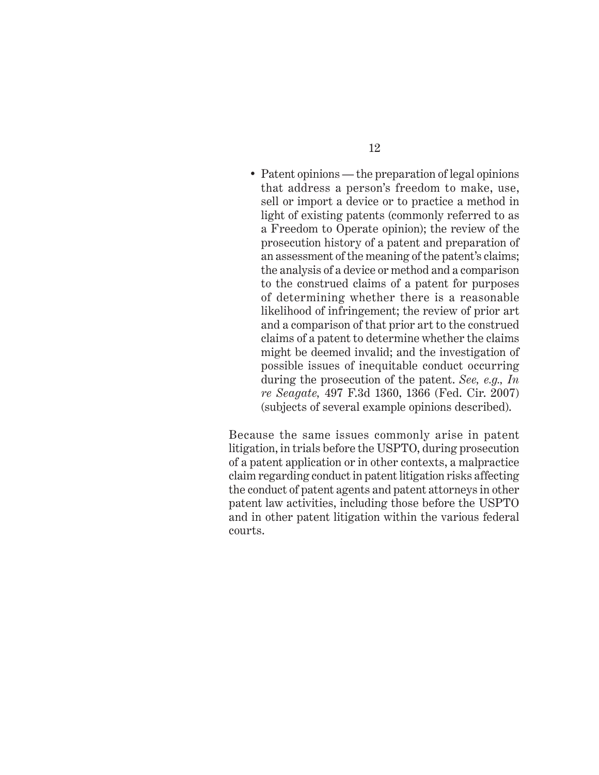• Patent opinions — the preparation of legal opinions that address a person's freedom to make, use, sell or import a device or to practice a method in light of existing patents (commonly referred to as a Freedom to Operate opinion); the review of the prosecution history of a patent and preparation of an assessment of the meaning of the patent's claims; the analysis of a device or method and a comparison to the construed claims of a patent for purposes of determining whether there is a reasonable likelihood of infringement; the review of prior art and a comparison of that prior art to the construed claims of a patent to determine whether the claims might be deemed invalid; and the investigation of possible issues of inequitable conduct occurring during the prosecution of the patent. *See, e.g., In re Seagate,* 497 F.3d 1360, 1366 (Fed. Cir. 2007) (subjects of several example opinions described).

Because the same issues commonly arise in patent litigation, in trials before the USPTO, during prosecution of a patent application or in other contexts, a malpractice claim regarding conduct in patent litigation risks affecting the conduct of patent agents and patent attorneys in other patent law activities, including those before the USPTO and in other patent litigation within the various federal courts.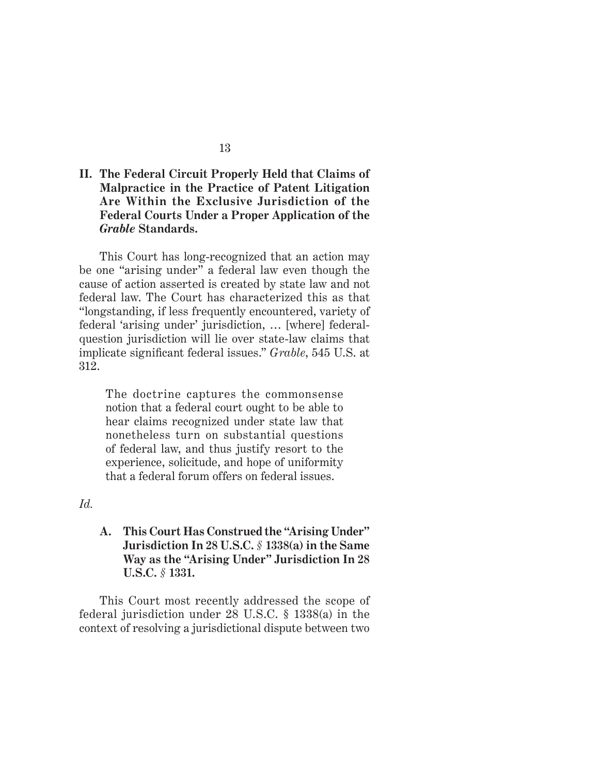## **II. The Federal Circuit Properly Held that Claims of Malpractice in the Practice of Patent Litigation Are Within the Exclusive Jurisdiction of the Federal Courts Under a Proper Application of the**  *Grable* **Standards.**

This Court has long-recognized that an action may be one "arising under" a federal law even though the cause of action asserted is created by state law and not federal law. The Court has characterized this as that "longstanding, if less frequently encountered, variety of federal 'arising under' jurisdiction, … [where] federalquestion jurisdiction will lie over state-law claims that implicate significant federal issues." *Grable*, 545 U.S. at 312.

The doctrine captures the commonsense notion that a federal court ought to be able to hear claims recognized under state law that nonetheless turn on substantial questions of federal law, and thus justify resort to the experience, solicitude, and hope of uniformity that a federal forum offers on federal issues.

*Id.* 

**A. This Court Has Construed the "Arising Under" Jurisdiction In 28 U.S.C.** *§* **1338(a) in the Same Way as the "Arising Under" Jurisdiction In 28 U.S.C.** *§* **1331.**

This Court most recently addressed the scope of federal jurisdiction under 28 U.S.C. § 1338(a) in the context of resolving a jurisdictional dispute between two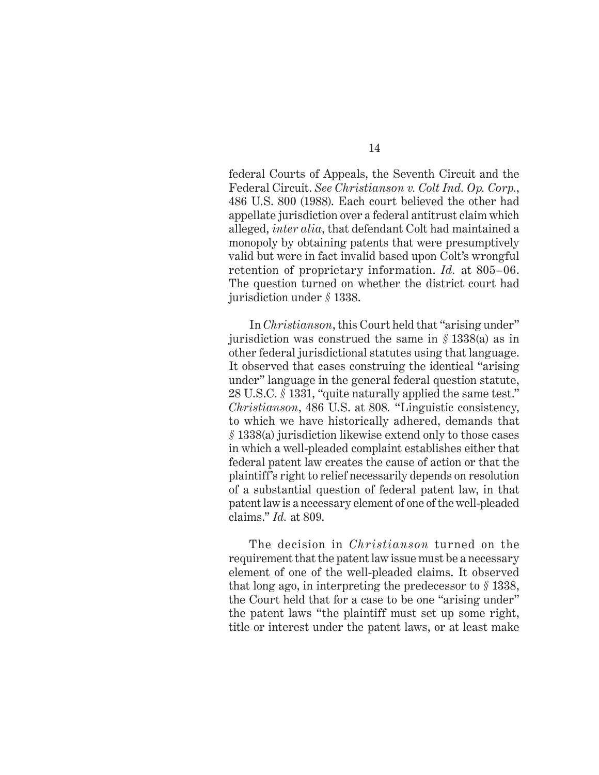federal Courts of Appeals, the Seventh Circuit and the Federal Circuit. *See Christianson v. Colt Ind. Op. Corp.*, 486 U.S. 800 (1988). Each court believed the other had appellate jurisdiction over a federal antitrust claim which alleged, *inter alia*, that defendant Colt had maintained a monopoly by obtaining patents that were presumptively valid but were in fact invalid based upon Colt's wrongful retention of proprietary information. *Id.* at 805–06. The question turned on whether the district court had jurisdiction under *§* 1338.

In *Christianson*, this Court held that "arising under" jurisdiction was construed the same in *§* 1338(a) as in other federal jurisdictional statutes using that language. It observed that cases construing the identical "arising under" language in the general federal question statute, 28 U.S.C. *§* 1331, "quite naturally applied the same test." *Christianson*, 486 U.S. at 808*.* "Linguistic consistency, to which we have historically adhered, demands that *§* 1338(a) jurisdiction likewise extend only to those cases in which a well-pleaded complaint establishes either that federal patent law creates the cause of action or that the plaintiff's right to relief necessarily depends on resolution of a substantial question of federal patent law, in that patent law is a necessary element of one of the well-pleaded claims." *Id.* at 809.

The decision in *Christianson* turned on the requirement that the patent law issue must be a necessary element of one of the well-pleaded claims. It observed that long ago, in interpreting the predecessor to *§* 1338, the Court held that for a case to be one "arising under" the patent laws "the plaintiff must set up some right, title or interest under the patent laws, or at least make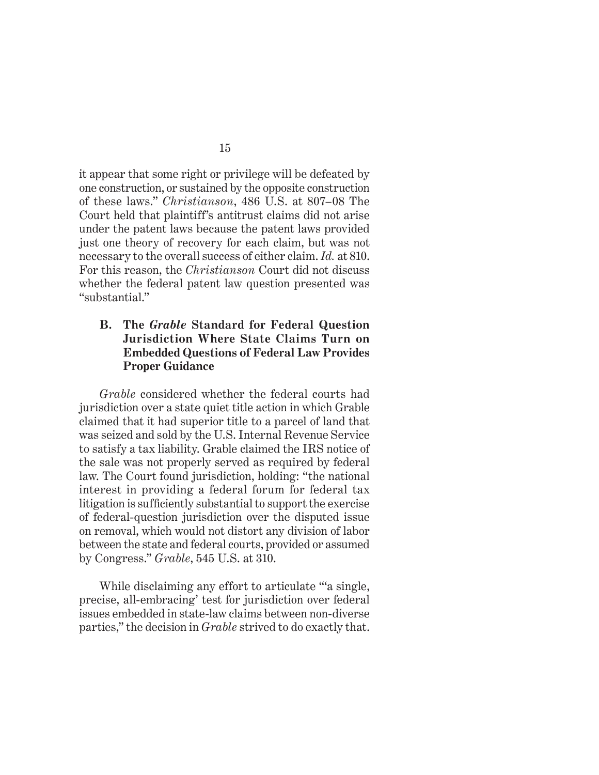it appear that some right or privilege will be defeated by one construction, or sustained by the opposite construction of these laws." *Christianson*, 486 U.S. at 807–08 The Court held that plaintiff's antitrust claims did not arise under the patent laws because the patent laws provided just one theory of recovery for each claim, but was not necessary to the overall success of either claim. *Id.* at 810. For this reason, the *Christianson* Court did not discuss whether the federal patent law question presented was "substantial."

### **B. The** *Grable* **Standard for Federal Question Jurisdiction Where State Claims Turn on Embedded Questions of Federal Law Provides Proper Guidance**

*Grable* considered whether the federal courts had jurisdiction over a state quiet title action in which Grable claimed that it had superior title to a parcel of land that was seized and sold by the U.S. Internal Revenue Service to satisfy a tax liability. Grable claimed the IRS notice of the sale was not properly served as required by federal law. The Court found jurisdiction, holding: "the national interest in providing a federal forum for federal tax litigation is sufficiently substantial to support the exercise of federal-question jurisdiction over the disputed issue on removal, which would not distort any division of labor between the state and federal courts, provided or assumed by Congress." *Grable*, 545 U.S. at 310.

While disclaiming any effort to articulate "a single, precise, all-embracing' test for jurisdiction over federal issues embedded in state-law claims between non-diverse parties," the decision in *Grable* strived to do exactly that.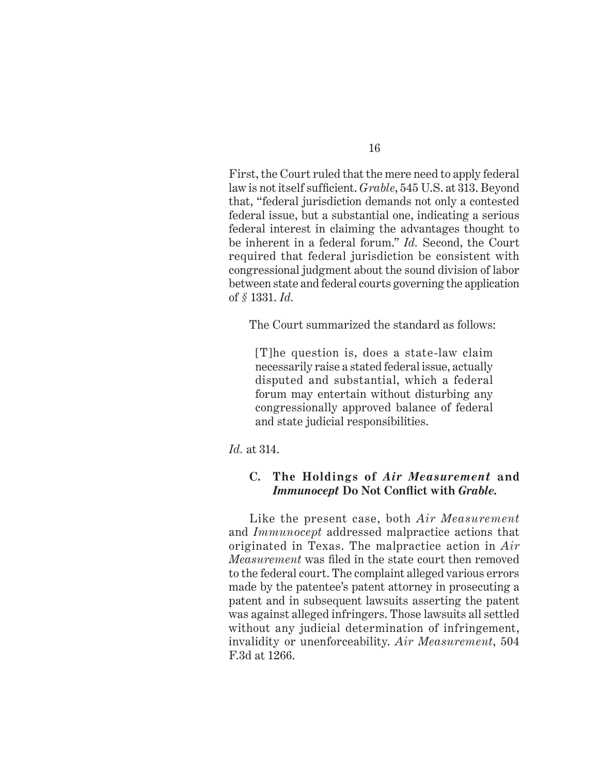First, the Court ruled that the mere need to apply federal law is not itself sufficient. *Grable*, 545 U.S. at 313. Beyond that, "federal jurisdiction demands not only a contested federal issue, but a substantial one, indicating a serious federal interest in claiming the advantages thought to be inherent in a federal forum." *Id.* Second, the Court required that federal jurisdiction be consistent with congressional judgment about the sound division of labor between state and federal courts governing the application of *§* 1331. *Id.*

The Court summarized the standard as follows:

[T]he question is, does a state-law claim necessarily raise a stated federal issue, actually disputed and substantial, which a federal forum may entertain without disturbing any congressionally approved balance of federal and state judicial responsibilities.

*Id.* at 314.

## **C. The Holdings of** *Air Measurement* **and**  *Immunocept* **Do Not Confl ict with** *Grable.*

Like the present case, both *Air Measurement*  and *Immunocept* addressed malpractice actions that originated in Texas. The malpractice action in *Air Measurement* was filed in the state court then removed to the federal court. The complaint alleged various errors made by the patentee's patent attorney in prosecuting a patent and in subsequent lawsuits asserting the patent was against alleged infringers. Those lawsuits all settled without any judicial determination of infringement, invalidity or unenforceability. *Air Measurement*, 504 F.3d at 1266.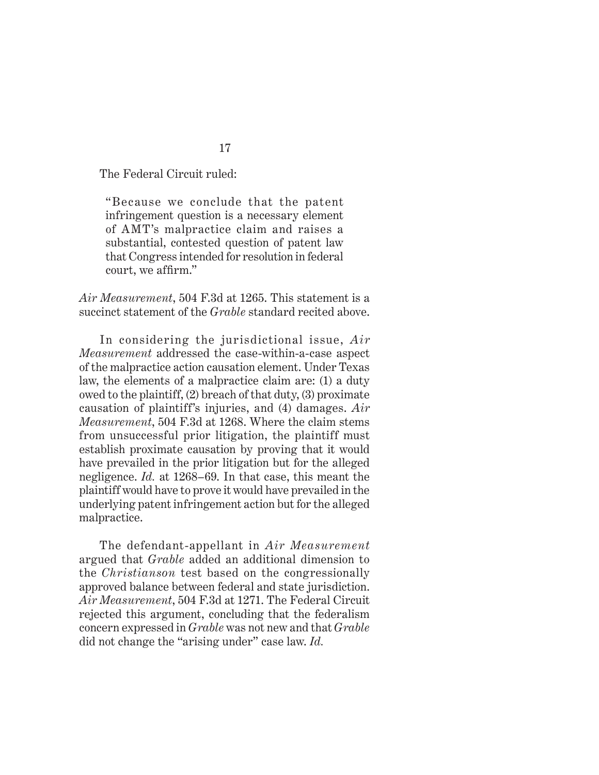The Federal Circuit ruled:

"Because we conclude that the patent infringement question is a necessary element of AMT's malpractice claim and raises a substantial, contested question of patent law that Congress intended for resolution in federal court, we affirm."

*Air Measurement*, 504 F.3d at 1265. This statement is a succinct statement of the *Grable* standard recited above.

In considering the jurisdictional issue, *Air Measurement* addressed the case-within-a-case aspect of the malpractice action causation element. Under Texas law, the elements of a malpractice claim are: (1) a duty owed to the plaintiff, (2) breach of that duty, (3) proximate causation of plaintiff's injuries, and (4) damages. *Air Measurement*, 504 F.3d at 1268. Where the claim stems from unsuccessful prior litigation, the plaintiff must establish proximate causation by proving that it would have prevailed in the prior litigation but for the alleged negligence. *Id.* at 1268–69. In that case, this meant the plaintiff would have to prove it would have prevailed in the underlying patent infringement action but for the alleged malpractice.

The defendant-appellant in *Air Measurement* argued that *Grable* added an additional dimension to the *Christianson* test based on the congressionally approved balance between federal and state jurisdiction. *Air Measurement*, 504 F.3d at 1271. The Federal Circuit rejected this argument, concluding that the federalism concern expressed in *Grable* was not new and that *Grable* did not change the "arising under" case law. *Id.*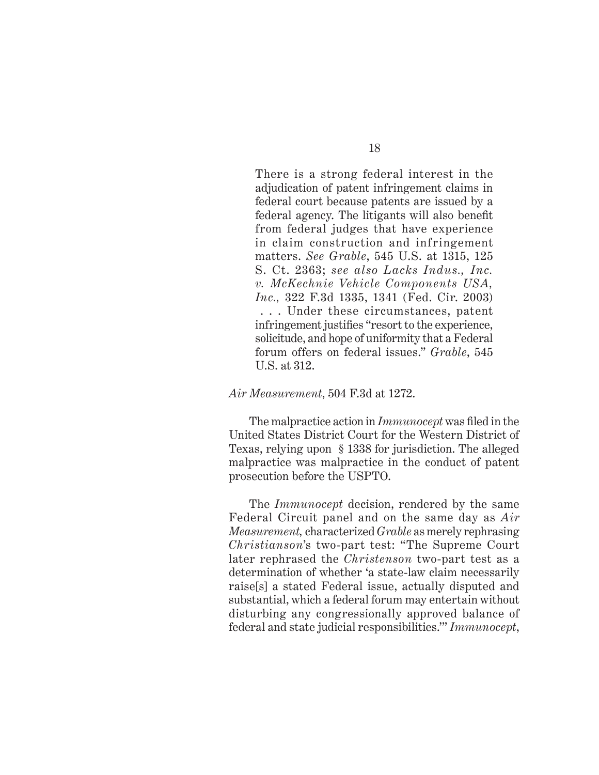There is a strong federal interest in the adjudication of patent infringement claims in federal court because patents are issued by a federal agency. The litigants will also benefit from federal judges that have experience in claim construction and infringement matters. *See Grable*, 545 U.S. at 1315, 125 S. Ct. 2363; *see also Lacks Indus., Inc. v. McKechnie Vehicle Components USA, Inc.,* 322 F.3d 1335, 1341 (Fed. Cir. 2003) . . . Under these circumstances, patent infringement justifies "resort to the experience, solicitude, and hope of uniformity that a Federal forum offers on federal issues." *Grable*, 545 U.S. at 312.

#### *Air Measurement*, 504 F.3d at 1272.

The malpractice action in *Immunocept* was filed in the United States District Court for the Western District of Texas, relying upon § 1338 for jurisdiction. The alleged malpractice was malpractice in the conduct of patent prosecution before the USPTO.

The *Immunocept* decision, rendered by the same Federal Circuit panel and on the same day as *Air Measurement,* characterized *Grable* as merely rephrasing *Christianson*'s two-part test: "The Supreme Court later rephrased the *Christenson* two-part test as a determination of whether 'a state-law claim necessarily raise[s] a stated Federal issue, actually disputed and substantial, which a federal forum may entertain without disturbing any congressionally approved balance of federal and state judicial responsibilities.'" *Immunocept*,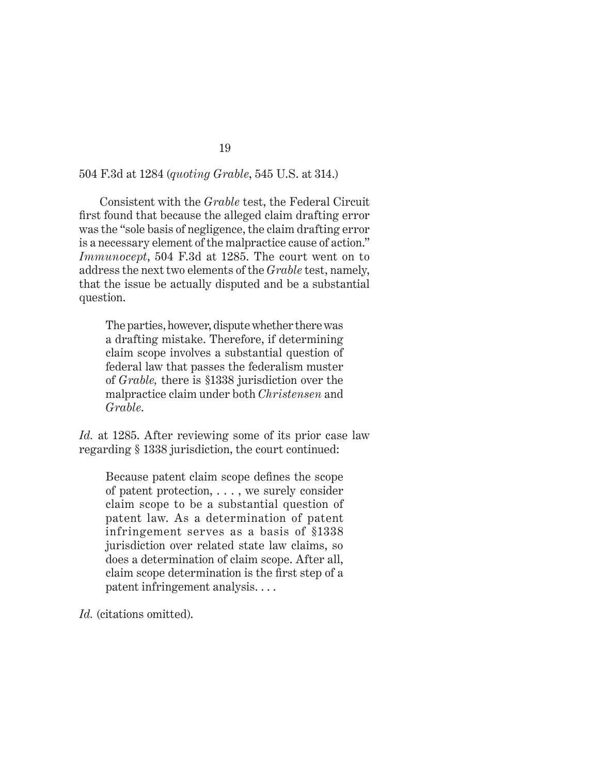#### 504 F.3d at 1284 (*quoting Grable*, 545 U.S. at 314.)

Consistent with the *Grable* test, the Federal Circuit first found that because the alleged claim drafting error was the "sole basis of negligence, the claim drafting error is a necessary element of the malpractice cause of action." *Immunocept*, 504 F.3d at 1285. The court went on to address the next two elements of the *Grable* test, namely, that the issue be actually disputed and be a substantial question.

The parties, however, dispute whether there was a drafting mistake. Therefore, if determining claim scope involves a substantial question of federal law that passes the federalism muster of *Grable,* there is §1338 jurisdiction over the malpractice claim under both *Christensen* and *Grable*.

*Id.* at 1285. After reviewing some of its prior case law regarding § 1338 jurisdiction, the court continued:

Because patent claim scope defines the scope of patent protection, . . . , we surely consider claim scope to be a substantial question of patent law. As a determination of patent infringement serves as a basis of §1338 jurisdiction over related state law claims, so does a determination of claim scope. After all, claim scope determination is the first step of a patent infringement analysis. . . .

*Id.* (citations omitted).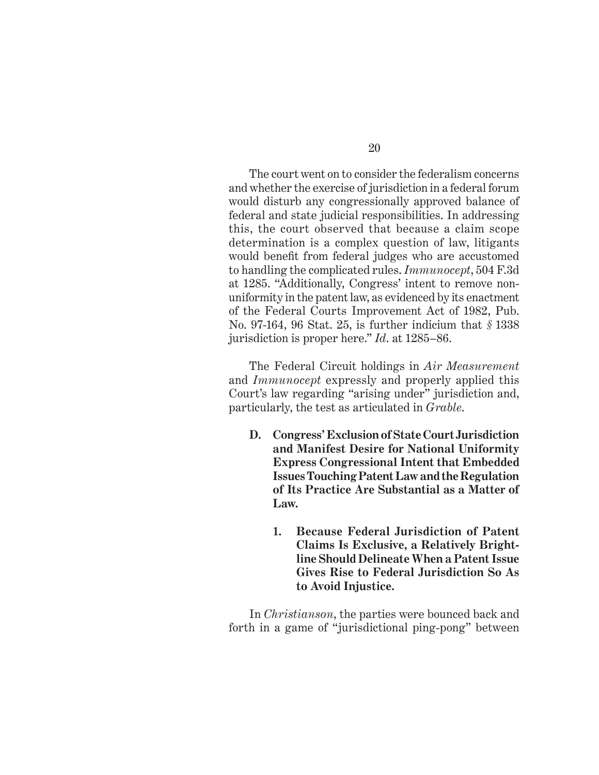The court went on to consider the federalism concerns and whether the exercise of jurisdiction in a federal forum would disturb any congressionally approved balance of federal and state judicial responsibilities. In addressing this, the court observed that because a claim scope determination is a complex question of law, litigants would benefit from federal judges who are accustomed to handling the complicated rules. *Immunocept*, 504 F.3d at 1285. "Additionally, Congress' intent to remove nonuniformity in the patent law, as evidenced by its enactment of the Federal Courts Improvement Act of 1982, Pub. No. 97-164, 96 Stat. 25, is further indicium that *§* 1338 jurisdiction is proper here." *Id*. at 1285–86.

The Federal Circuit holdings in *Air Measurement*  and *Immunocept* expressly and properly applied this Court's law regarding "arising under" jurisdiction and, particularly, the test as articulated in *Grable*.

- **D. Congress' Exclusion of State Court Jurisdiction and Manifest Desire for National Uniformity Express Congressional Intent that Embedded Issues Touching Patent Law and the Regulation of Its Practice Are Substantial as a Matter of Law.**
	- **1. Because Federal Jurisdiction of Patent Claims Is Exclusive, a Relatively Brightline Should Delineate When a Patent Issue Gives Rise to Federal Jurisdiction So As to Avoid Injustice.**

In *Christianson*, the parties were bounced back and forth in a game of "jurisdictional ping-pong" between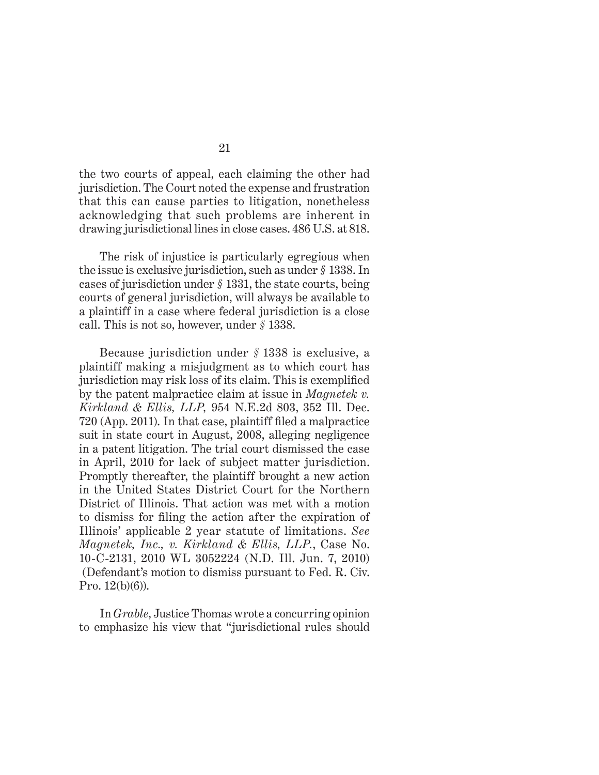the two courts of appeal, each claiming the other had jurisdiction. The Court noted the expense and frustration that this can cause parties to litigation, nonetheless acknowledging that such problems are inherent in drawing jurisdictional lines in close cases. 486 U.S. at 818.

The risk of injustice is particularly egregious when the issue is exclusive jurisdiction, such as under *§* 1338. In cases of jurisdiction under *§* 1331, the state courts, being courts of general jurisdiction, will always be available to a plaintiff in a case where federal jurisdiction is a close call. This is not so, however, under *§* 1338.

Because jurisdiction under *§* 1338 is exclusive, a plaintiff making a misjudgment as to which court has jurisdiction may risk loss of its claim. This is exemplified by the patent malpractice claim at issue in *Magnetek v. Kirkland & Ellis, LLP,* 954 N.E.2d 803, 352 Ill. Dec.  $720$  (App. 2011). In that case, plaintiff filed a malpractice suit in state court in August, 2008, alleging negligence in a patent litigation. The trial court dismissed the case in April, 2010 for lack of subject matter jurisdiction. Promptly thereafter, the plaintiff brought a new action in the United States District Court for the Northern District of Illinois. That action was met with a motion to dismiss for filing the action after the expiration of Illinois' applicable 2 year statute of limitations. *See Magnetek, Inc., v. Kirkland & Ellis, LLP.*, Case No. 10-C-2131, 2010 WL 3052224 (N.D. Ill. Jun. 7, 2010) (Defendant's motion to dismiss pursuant to Fed. R. Civ. Pro. 12(b)(6)).

In *Grable*, Justice Thomas wrote a concurring opinion to emphasize his view that "jurisdictional rules should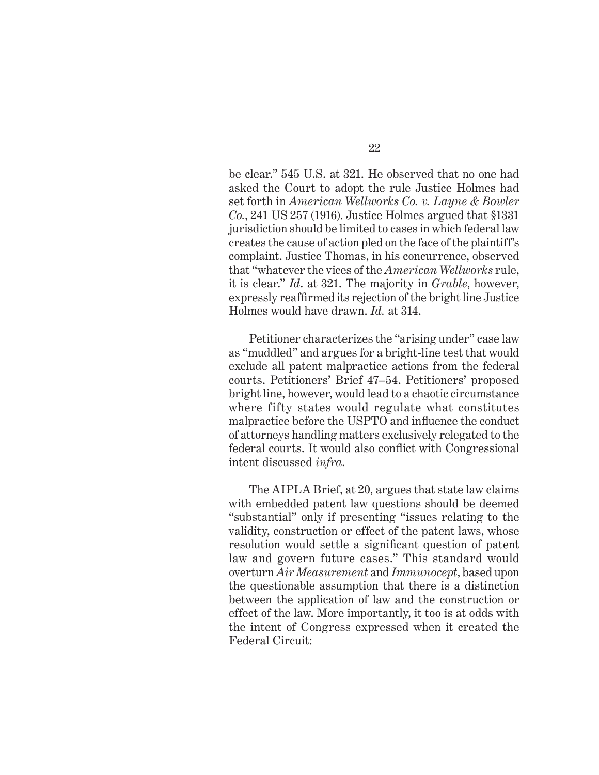be clear." 545 U.S. at 321. He observed that no one had asked the Court to adopt the rule Justice Holmes had set forth in *American Wellworks Co. v. Layne & Bowler Co.*, 241 US 257 (1916). Justice Holmes argued that §1331 jurisdiction should be limited to cases in which federal law creates the cause of action pled on the face of the plaintiff's complaint. Justice Thomas, in his concurrence, observed that "whatever the vices of the *American Wellworks* rule, it is clear." *Id*. at 321. The majority in *Grable*, however, expressly reaffirmed its rejection of the bright line Justice Holmes would have drawn. *Id.* at 314.

Petitioner characterizes the "arising under" case law as "muddled" and argues for a bright-line test that would exclude all patent malpractice actions from the federal courts. Petitioners' Brief 47–54. Petitioners' proposed bright line, however, would lead to a chaotic circumstance where fifty states would regulate what constitutes malpractice before the USPTO and influence the conduct of attorneys handling matters exclusively relegated to the federal courts. It would also conflict with Congressional intent discussed *infra.*

The AIPLA Brief, at 20, argues that state law claims with embedded patent law questions should be deemed "substantial" only if presenting "issues relating to the validity, construction or effect of the patent laws, whose resolution would settle a significant question of patent law and govern future cases." This standard would overturn *Air Measurement* and *Immunocept*, based upon the questionable assumption that there is a distinction between the application of law and the construction or effect of the law. More importantly, it too is at odds with the intent of Congress expressed when it created the Federal Circuit: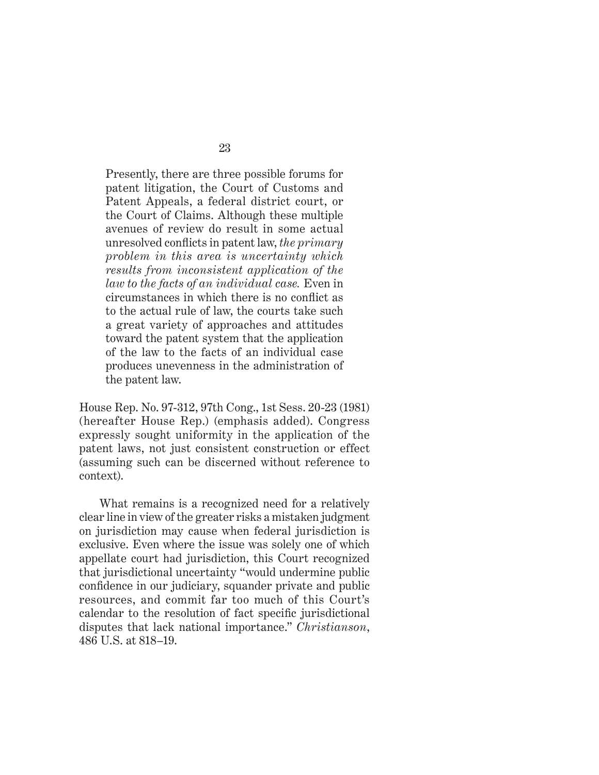Presently, there are three possible forums for patent litigation, the Court of Customs and Patent Appeals, a federal district court, or the Court of Claims. Although these multiple avenues of review do result in some actual unresolved conflicts in patent law, *the primary problem in this area is uncertainty which results from inconsistent application of the law to the facts of an individual case.* Even in circumstances in which there is no conflict as to the actual rule of law, the courts take such a great variety of approaches and attitudes toward the patent system that the application of the law to the facts of an individual case produces unevenness in the administration of the patent law.

House Rep. No. 97-312, 97th Cong., 1st Sess. 20-23 (1981) (hereafter House Rep.) (emphasis added). Congress expressly sought uniformity in the application of the patent laws, not just consistent construction or effect (assuming such can be discerned without reference to context).

What remains is a recognized need for a relatively clear line in view of the greater risks a mistaken judgment on jurisdiction may cause when federal jurisdiction is exclusive. Even where the issue was solely one of which appellate court had jurisdiction, this Court recognized that jurisdictional uncertainty "would undermine public confidence in our judiciary, squander private and public resources, and commit far too much of this Court's calendar to the resolution of fact specific jurisdictional disputes that lack national importance." *Christianson*, 486 U.S. at 818–19.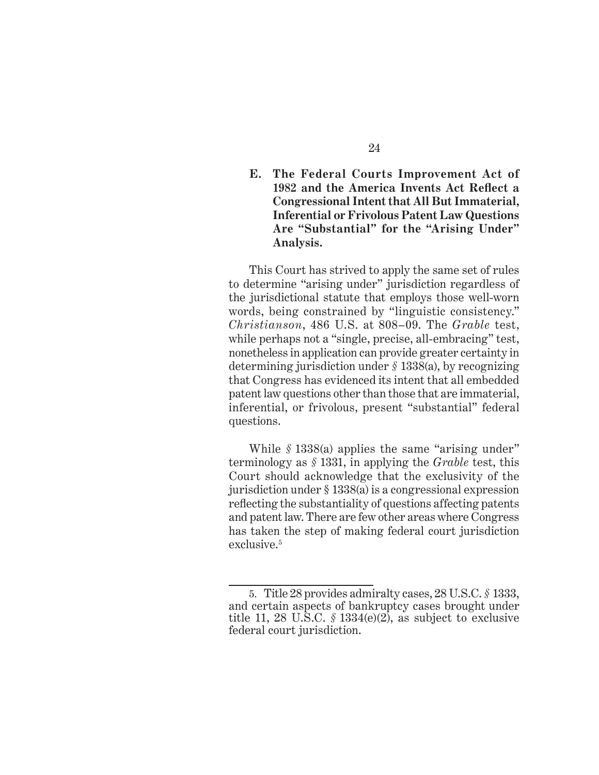### **E. The Federal Courts Improvement Act of**  1982 and the America Invents Act Reflect a **Congressional Intent that All But Immaterial, Inferential or Frivolous Patent Law Questions Are "Substantial" for the "Arising Under" Analysis.**

This Court has strived to apply the same set of rules to determine "arising under" jurisdiction regardless of the jurisdictional statute that employs those well-worn words, being constrained by "linguistic consistency." *Christianson*, 486 U.S. at 808–09. The *Grable* test, while perhaps not a "single, precise, all-embracing" test, nonetheless in application can provide greater certainty in determining jurisdiction under *§* 1338(a), by recognizing that Congress has evidenced its intent that all embedded patent law questions other than those that are immaterial, inferential, or frivolous, present "substantial" federal questions.

While *§* 1338(a) applies the same "arising under" terminology as *§* 1331, in applying the *Grable* test, this Court should acknowledge that the exclusivity of the jurisdiction under § 1338(a) is a congressional expression reflecting the substantiality of questions affecting patents and patent law. There are few other areas where Congress has taken the step of making federal court jurisdiction exclusive.<sup>5</sup>

<sup>5.</sup> Title 28 provides admiralty cases, 28 U.S.C. *§* 1333, and certain aspects of bankruptcy cases brought under title 11, 28 U.S.C.  $\frac{6}{5}$  1334(e)(2), as subject to exclusive federal court jurisdiction.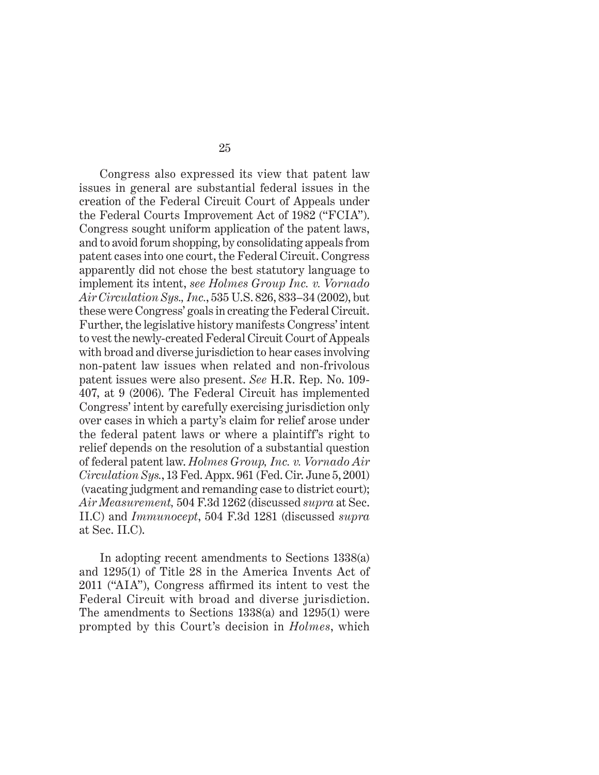Congress also expressed its view that patent law issues in general are substantial federal issues in the creation of the Federal Circuit Court of Appeals under the Federal Courts Improvement Act of 1982 ("FCIA"). Congress sought uniform application of the patent laws, and to avoid forum shopping, by consolidating appeals from patent cases into one court, the Federal Circuit. Congress apparently did not chose the best statutory language to implement its intent, *see Holmes Group Inc. v. Vornado Air Circulation Sys., Inc.*, 535 U.S. 826, 833–34 (2002), but these were Congress' goals in creating the Federal Circuit. Further, the legislative history manifests Congress' intent to vest the newly-created Federal Circuit Court of Appeals with broad and diverse jurisdiction to hear cases involving non-patent law issues when related and non-frivolous patent issues were also present. *See* H.R. Rep. No. 109- 407, at 9 (2006). The Federal Circuit has implemented Congress' intent by carefully exercising jurisdiction only over cases in which a party's claim for relief arose under the federal patent laws or where a plaintiff's right to relief depends on the resolution of a substantial question of federal patent law. *Holmes Group, Inc. v. Vornado Air Circulation Sys.*, 13 Fed. Appx. 961 (Fed. Cir. June 5, 2001) (vacating judgment and remanding case to district court); *Air Measurement,* 504 F.3d 1262 (discussed *supra* at Sec. II.C) and *Immunocept*, 504 F.3d 1281 (discussed *supra* at Sec. II.C).

In adopting recent amendments to Sections 1338(a) and 1295(1) of Title 28 in the America Invents Act of 2011 ("AIA"), Congress affirmed its intent to vest the Federal Circuit with broad and diverse jurisdiction. The amendments to Sections 1338(a) and 1295(1) were prompted by this Court's decision in *Holmes*, which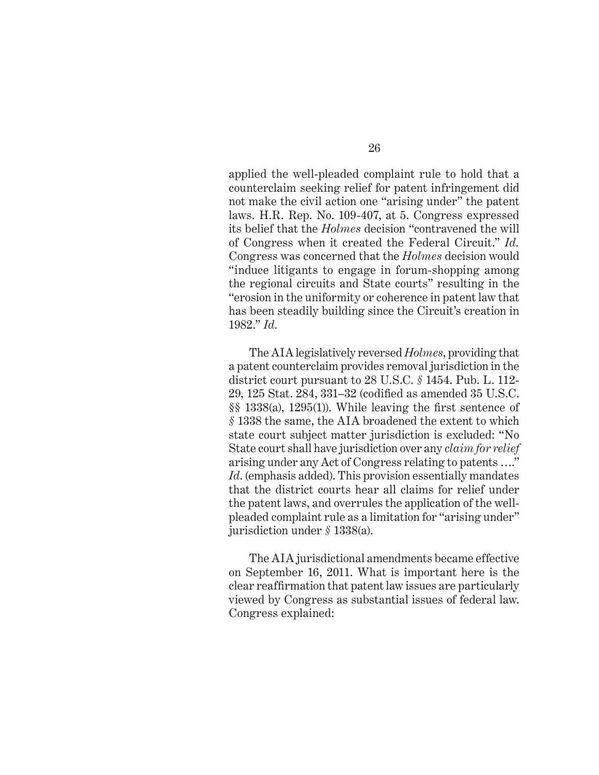applied the well-pleaded complaint rule to hold that a counterclaim seeking relief for patent infringement did not make the civil action one "arising under" the patent laws. H.R. Rep. No. 109-407, at 5. Congress expressed its belief that the *Holmes* decision "contravened the will of Congress when it created the Federal Circuit." *Id.*  Congress was concerned that the *Holmes* decision would "induce litigants to engage in forum-shopping among the regional circuits and State courts" resulting in the "erosion in the uniformity or coherence in patent law that has been steadily building since the Circuit's creation in 1982." *Id.* 

The AIA legislatively reversed *Holmes*, providing that a patent counterclaim provides removal jurisdiction in the district court pursuant to 28 U.S.C. *§* 1454. Pub. L. 112- 29, 125 Stat. 284, 331–32 (codified as amended 35 U.S.C.  $\S$ § 1338(a), 1295(1)). While leaving the first sentence of *§* 1338 the same, the AIA broadened the extent to which state court subject matter jurisdiction is excluded: "No State court shall have jurisdiction over any *claim for relief* arising under any Act of Congress relating to patents …." *Id*. (emphasis added). This provision essentially mandates that the district courts hear all claims for relief under the patent laws, and overrules the application of the wellpleaded complaint rule as a limitation for "arising under" jurisdiction under *§* 1338(a).

The AIA jurisdictional amendments became effective on September 16, 2011. What is important here is the clear reaffirmation that patent law issues are particularly viewed by Congress as substantial issues of federal law. Congress explained: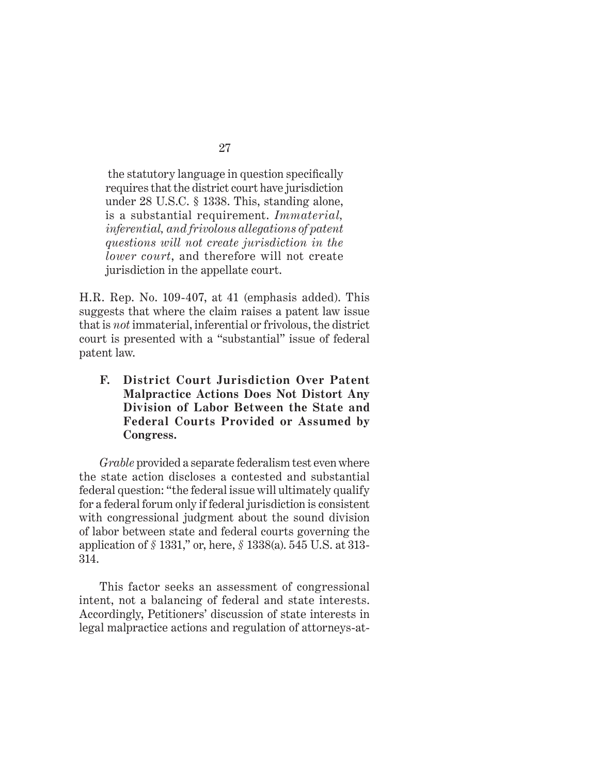the statutory language in question specifically requires that the district court have jurisdiction under 28 U.S.C. § 1338. This, standing alone, is a substantial requirement. *Immaterial, inferential, and frivolous allegations of patent questions will not create jurisdiction in the lower court*, and therefore will not create jurisdiction in the appellate court.

H.R. Rep. No. 109-407, at 41 (emphasis added). This suggests that where the claim raises a patent law issue that is *not* immaterial, inferential or frivolous, the district court is presented with a "substantial" issue of federal patent law.

**F. District Court Jurisdiction Over Patent Malpractice Actions Does Not Distort Any Division of Labor Between the State and Federal Courts Provided or Assumed by Congress.**

*Grable* provided a separate federalism test even where the state action discloses a contested and substantial federal question: "the federal issue will ultimately qualify for a federal forum only if federal jurisdiction is consistent with congressional judgment about the sound division of labor between state and federal courts governing the application of *§* 1331," or, here, *§* 1338(a). 545 U.S. at 313- 314.

This factor seeks an assessment of congressional intent, not a balancing of federal and state interests. Accordingly, Petitioners' discussion of state interests in legal malpractice actions and regulation of attorneys-at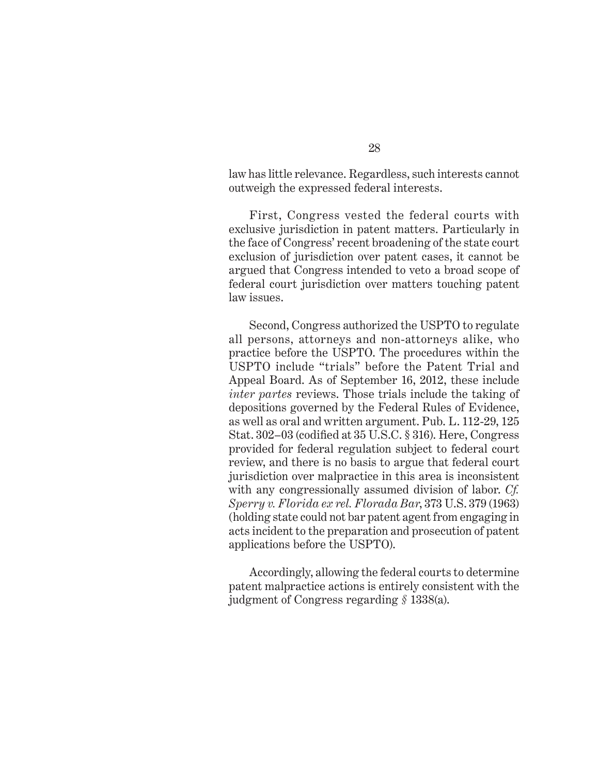law has little relevance. Regardless, such interests cannot outweigh the expressed federal interests.

First, Congress vested the federal courts with exclusive jurisdiction in patent matters. Particularly in the face of Congress' recent broadening of the state court exclusion of jurisdiction over patent cases, it cannot be argued that Congress intended to veto a broad scope of federal court jurisdiction over matters touching patent law issues.

Second, Congress authorized the USPTO to regulate all persons, attorneys and non-attorneys alike, who practice before the USPTO. The procedures within the USPTO include "trials" before the Patent Trial and Appeal Board. As of September 16, 2012, these include *inter partes* reviews. Those trials include the taking of depositions governed by the Federal Rules of Evidence, as well as oral and written argument. Pub. L. 112-29, 125 Stat.  $302-03$  (codified at  $35$  U.S.C.  $\S 316$ ). Here, Congress provided for federal regulation subject to federal court review, and there is no basis to argue that federal court jurisdiction over malpractice in this area is inconsistent with any congressionally assumed division of labor. *Cf. Sperry v. Florida ex rel. Florada Bar*, 373 U.S. 379 (1963) (holding state could not bar patent agent from engaging in acts incident to the preparation and prosecution of patent applications before the USPTO).

Accordingly, allowing the federal courts to determine patent malpractice actions is entirely consistent with the judgment of Congress regarding *§* 1338(a).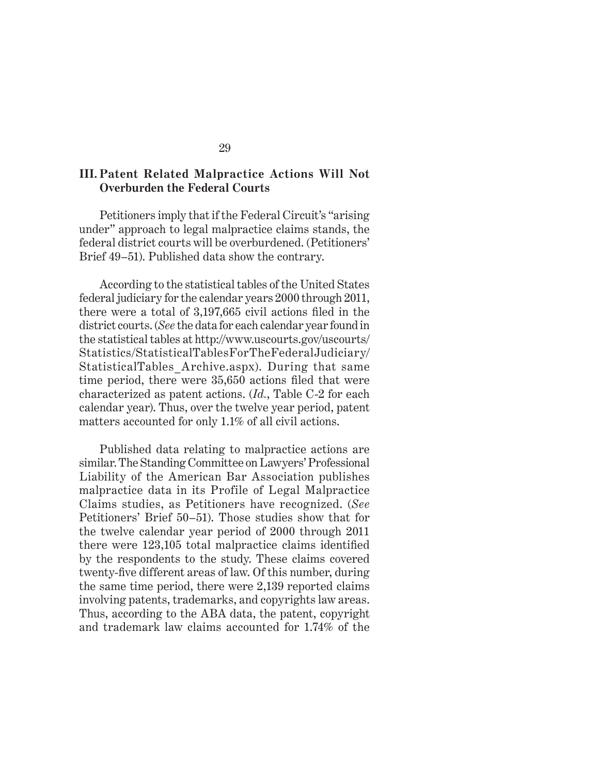### **III. Patent Related Malpractice Actions Will Not Overburden the Federal Courts**

Petitioners imply that if the Federal Circuit's "arising under" approach to legal malpractice claims stands, the federal district courts will be overburdened. (Petitioners' Brief 49–51). Published data show the contrary.

According to the statistical tables of the United States federal judiciary for the calendar years 2000 through 2011, there were a total of  $3,197,665$  civil actions filed in the district courts.(*See* the data for each calendar year found in the statistical tables at http://www.uscourts.gov/uscourts/ Statistics/StatisticalTablesForTheFederalJudiciary/ StatisticalTables\_Archive.aspx). During that same time period, there were 35,650 actions filed that were characterized as patent actions. (*Id.*, Table C-2 for each calendar year). Thus, over the twelve year period, patent matters accounted for only 1.1% of all civil actions.

Published data relating to malpractice actions are similar.The Standing Committee on Lawyers' Professional Liability of the American Bar Association publishes malpractice data in its Profile of Legal Malpractice Claims studies, as Petitioners have recognized. (*See* Petitioners' Brief 50–51). Those studies show that for the twelve calendar year period of 2000 through 2011 there were  $123,105$  total malpractice claims identified by the respondents to the study. These claims covered twenty-five different areas of law. Of this number, during the same time period, there were 2,139 reported claims involving patents, trademarks, and copyrights law areas. Thus, according to the ABA data, the patent, copyright and trademark law claims accounted for 1.74% of the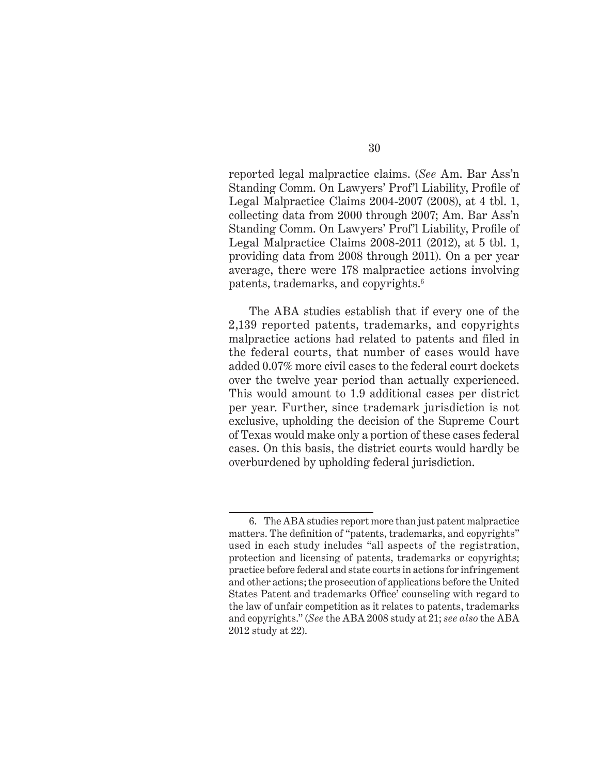reported legal malpractice claims. (*See* Am. Bar Ass'n Standing Comm. On Lawyers' Prof'l Liability, Profile of Legal Malpractice Claims 2004-2007 (2008), at 4 tbl. 1, collecting data from 2000 through 2007; Am. Bar Ass'n Standing Comm. On Lawyers' Prof'l Liability, Profile of Legal Malpractice Claims 2008-2011 (2012), at 5 tbl. 1, providing data from 2008 through 2011). On a per year average, there were 178 malpractice actions involving patents, trademarks, and copyrights.6

The ABA studies establish that if every one of the 2,139 reported patents, trademarks, and copyrights malpractice actions had related to patents and filed in the federal courts, that number of cases would have added 0.07% more civil cases to the federal court dockets over the twelve year period than actually experienced. This would amount to 1.9 additional cases per district per year. Further, since trademark jurisdiction is not exclusive, upholding the decision of the Supreme Court of Texas would make only a portion of these cases federal cases. On this basis, the district courts would hardly be overburdened by upholding federal jurisdiction.

<sup>6.</sup> The ABA studies report more than just patent malpractice matters. The definition of "patents, trademarks, and copyrights" used in each study includes "all aspects of the registration, protection and licensing of patents, trademarks or copyrights; practice before federal and state courts in actions for infringement and other actions; the prosecution of applications before the United States Patent and trademarks Office' counseling with regard to the law of unfair competition as it relates to patents, trademarks and copyrights." (*See* the ABA 2008 study at 21; *see also* the ABA 2012 study at 22).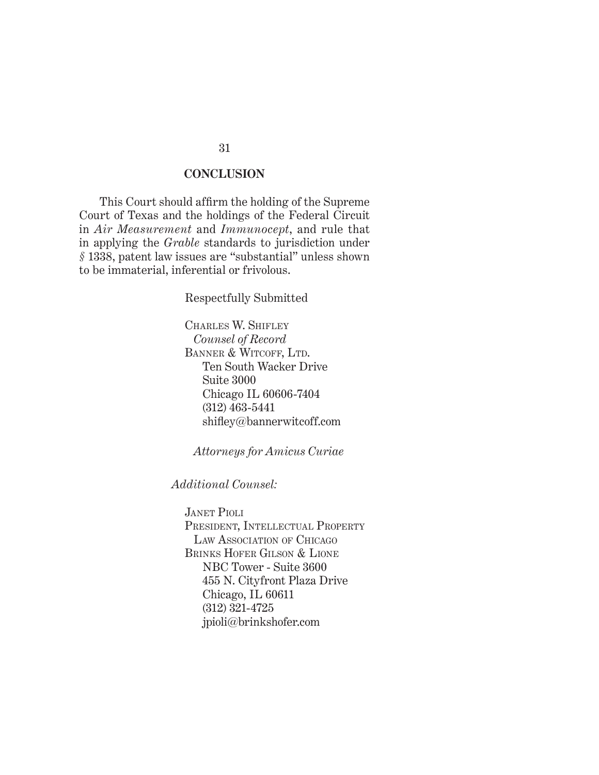#### **CONCLUSION**

This Court should affirm the holding of the Supreme Court of Texas and the holdings of the Federal Circuit in *Air Measurement* and *Immunocept*, and rule that in applying the *Grable* standards to jurisdiction under *§* 1338, patent law issues are "substantial" unless shown to be immaterial, inferential or frivolous.

Respectfully Submitted

CHARLES W. SHIFLEY *Counsel of Record* BANNER & WITCOFF, LTD. Ten South Wacker Drive Suite 3000 Chicago IL 60606-7404 (312) 463-5441 shifley@bannerwitcoff.com

*Attorneys for Amicus Curiae*

*Additional Counsel:*

JANET PIOLI PRESIDENT, INTELLECTUAL PROPERTY LAW ASSOCIATION OF CHICAGO BRINKS HOFER GILSON & LIONE NBC Tower - Suite 3600 455 N. Cityfront Plaza Drive Chicago, IL 60611 (312) 321-4725 jpioli@brinkshofer.com